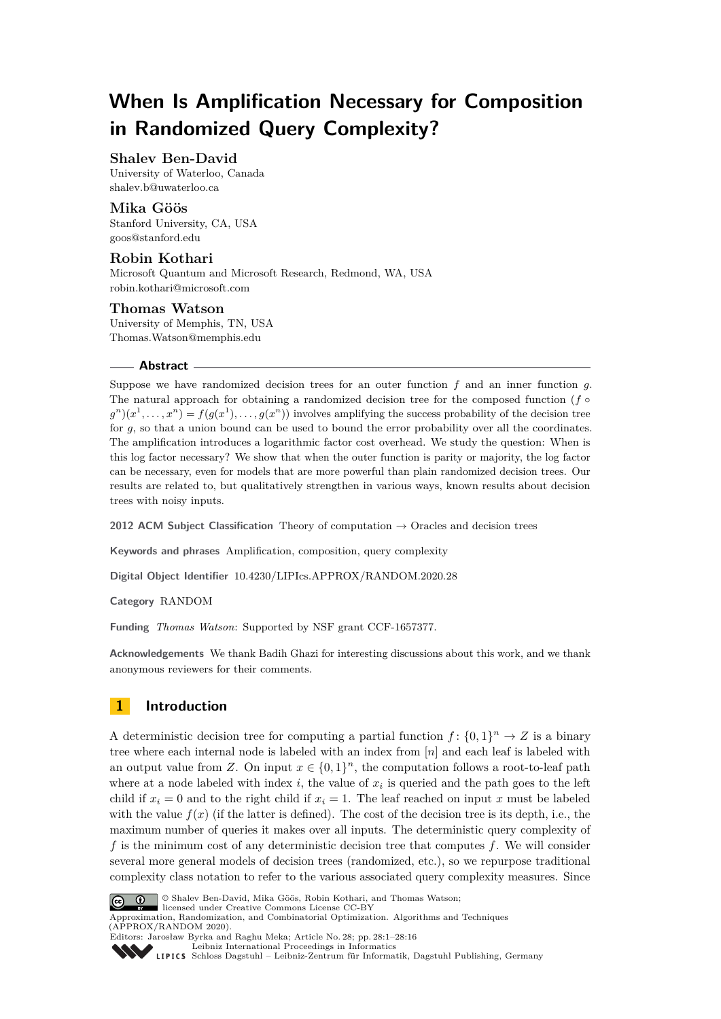# **When Is Amplification Necessary for Composition in Randomized Query Complexity?**

## **Shalev Ben-David**

University of Waterloo, Canada [shalev.b@uwaterloo.ca](mailto:shalev.b@uwaterloo.ca)

**Mika Göös** Stanford University, CA, USA [goos@stanford.edu](mailto:goos@stanford.edu)

## **Robin Kothari**

Microsoft Quantum and Microsoft Research, Redmond, WA, USA [robin.kothari@microsoft.com](mailto:robin.kothari@microsoft.com)

## **Thomas Watson**

University of Memphis, TN, USA [Thomas.Watson@memphis.edu](mailto:Thomas.Watson@memphis.edu)

## **Abstract**

Suppose we have randomized decision trees for an outer function *f* and an inner function *g*. The natural approach for obtaining a randomized decision tree for the composed function  $(f \circ$  $g^n(x^1, \ldots, x^n) = f(g(x^1), \ldots, g(x^n))$  involves amplifying the success probability of the decision tree for *g*, so that a union bound can be used to bound the error probability over all the coordinates. The amplification introduces a logarithmic factor cost overhead. We study the question: When is this log factor necessary? We show that when the outer function is parity or majority, the log factor can be necessary, even for models that are more powerful than plain randomized decision trees. Our results are related to, but qualitatively strengthen in various ways, known results about decision trees with noisy inputs.

**2012 ACM Subject Classification** Theory of computation → Oracles and decision trees

**Keywords and phrases** Amplification, composition, query complexity

**Digital Object Identifier** [10.4230/LIPIcs.APPROX/RANDOM.2020.28](https://doi.org/10.4230/LIPIcs.APPROX/RANDOM.2020.28)

**Category** RANDOM

**Funding** *Thomas Watson*: Supported by NSF grant CCF-1657377.

**Acknowledgements** We thank Badih Ghazi for interesting discussions about this work, and we thank anonymous reviewers for their comments.

## **1 Introduction**

A deterministic decision tree for computing a partial function  $f: \{0,1\}^n \to Z$  is a binary tree where each internal node is labeled with an index from [*n*] and each leaf is labeled with an output value from *Z*. On input  $x \in \{0,1\}^n$ , the computation follows a root-to-leaf path where at a node labeled with index  $i$ , the value of  $x_i$  is queried and the path goes to the left child if  $x_i = 0$  and to the right child if  $x_i = 1$ . The leaf reached on input x must be labeled with the value  $f(x)$  (if the latter is defined). The cost of the decision tree is its depth, i.e., the maximum number of queries it makes over all inputs. The deterministic query complexity of *f* is the minimum cost of any deterministic decision tree that computes *f*. We will consider several more general models of decision trees (randomized, etc.), so we repurpose traditional complexity class notation to refer to the various associated query complexity measures. Since



© Shalev Ben-David, Mika Göös, Robin Kothari, and Thomas Watson;

licensed under Creative Commons License CC-BY Approximation, Randomization, and Combinatorial Optimization. Algorithms and Techniques (APPROX/RANDOM 2020). Editors: Jarosław Byrka and Raghu Meka; Article No. 28; pp. 28:1–28[:16](#page-15-0)



[Leibniz International Proceedings in Informatics](https://www.dagstuhl.de/lipics/)

[Schloss Dagstuhl – Leibniz-Zentrum für Informatik, Dagstuhl Publishing, Germany](https://www.dagstuhl.de)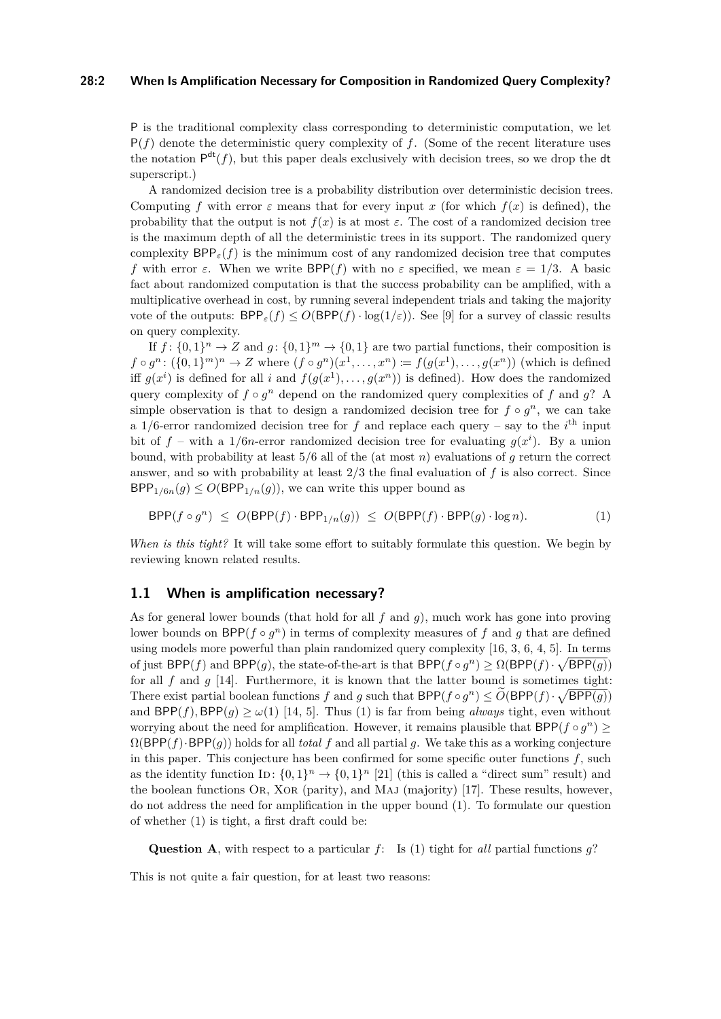#### **28:2 When Is Amplification Necessary for Composition in Randomized Query Complexity?**

P is the traditional complexity class corresponding to deterministic computation, we let  $P(f)$  denote the deterministic query complexity of f. (Some of the recent literature uses the notation  $P^{dt}(f)$ , but this paper deals exclusively with decision trees, so we drop the dt superscript.)

A randomized decision tree is a probability distribution over deterministic decision trees. Computing *f* with error  $\varepsilon$  means that for every input *x* (for which  $f(x)$  is defined), the probability that the output is not  $f(x)$  is at most  $\varepsilon$ . The cost of a randomized decision tree is the maximum depth of all the deterministic trees in its support. The randomized query complexity  $BPP_{\varepsilon}(f)$  is the minimum cost of any randomized decision tree that computes *f* with error  $\varepsilon$ . When we write  $BPP(f)$  with no  $\varepsilon$  specified, we mean  $\varepsilon = 1/3$ . A basic fact about randomized computation is that the success probability can be amplified, with a multiplicative overhead in cost, by running several independent trials and taking the majority vote of the outputs:  $BPP_{\epsilon}(f) \leq O(BPP(f) \cdot \log(1/\epsilon))$ . See [\[9\]](#page-13-0) for a survey of classic results on query complexity.

If  $f: \{0,1\}^n \to Z$  and  $g: \{0,1\}^m \to \{0,1\}$  are two partial functions, their composition is  $f \circ g^n : (\{0,1\}^m)^n \to Z$  where  $(f \circ g^n)(x^1, \ldots, x^n) \coloneqq f(g(x^1), \ldots, g(x^n))$  (which is defined iff  $g(x^i)$  is defined for all *i* and  $f(g(x^1), \ldots, g(x^n))$  is defined). How does the randomized query complexity of  $f \circ g^n$  depend on the randomized query complexities of  $f$  and  $g$ ? A simple observation is that to design a randomized decision tree for  $f \circ g^n$ , we can take a 1/6-error randomized decision tree for  $f$  and replace each query – say to the  $i<sup>th</sup>$  input bit of  $f$  – with a 1/6*n*-error randomized decision tree for evaluating  $g(x^i)$ . By a union bound, with probability at least 5*/*6 all of the (at most *n*) evaluations of *g* return the correct answer, and so with probability at least 2*/*3 the final evaluation of *f* is also correct. Since  $BPP_{1/6n}(g) \leq O(BPP_{1/n}(g))$ , we can write this upper bound as

<span id="page-1-0"></span>
$$
\mathsf{BPP}(f \circ g^n) \le O(\mathsf{BPP}(f) \cdot \mathsf{BPP}_{1/n}(g)) \le O(\mathsf{BPP}(f) \cdot \mathsf{BPP}(g) \cdot \log n). \tag{1}
$$

*When is this tight?* It will take some effort to suitably formulate this question. We begin by reviewing known related results.

## <span id="page-1-1"></span>**1.1 When is amplification necessary?**

As for general lower bounds (that hold for all *f* and *g*), much work has gone into proving lower bounds on  $BPP(f \circ g^n)$  in terms of complexity measures of f and g that are defined using models more powerful than plain randomized query complexity [\[16,](#page-14-0) [3,](#page-13-1) [6,](#page-13-2) [4,](#page-13-3) [5\]](#page-13-4). In terms of just  $BPP(f)$  and  $BPP(g)$ , the state-of-the-art is that  $BPP(f \circ g^n) \ge \Omega(BPP(f) \cdot \sqrt{BPP(g)})$ for all  $f$  and  $g$  [\[14\]](#page-13-5). Furthermore, it is known that the latter bound is sometimes tight: There exist partial boolean functions *f* and *g* such that  $BPP(f \circ g^n) \leq O(BPP(f) \cdot \sqrt{BPP(g)})$ and  $BPP(f)$ ,  $BPP(q) > \omega(1)$  $BPP(q) > \omega(1)$  [\[14,](#page-13-5) [5\]](#page-13-4). Thus (1) is far from being *always* tight, even without worrying about the need for amplification. However, it remains plausible that  $BPP(f \circ g^n) \geq$  $\Omega(BPP(f) \cdot BPP(g))$  holds for all *total f* and all partial *g*. We take this as a working conjecture in this paper. This conjecture has been confirmed for some specific outer functions *f*, such as the identity function ID:  $\{0,1\}^n \to \{0,1\}^n$  [\[21\]](#page-14-1) (this is called a "direct sum" result) and the boolean functions Or, Xor (parity), and Maj (majority) [\[17\]](#page-14-2). These results, however, do not address the need for amplification in the upper bound [\(1\)](#page-1-0). To formulate our question of whether [\(1\)](#page-1-0) is tight, a first draft could be:

**Question A**, with respect to a particular *f*: Is [\(1\)](#page-1-0) tight for *all* partial functions *g*?

This is not quite a fair question, for at least two reasons: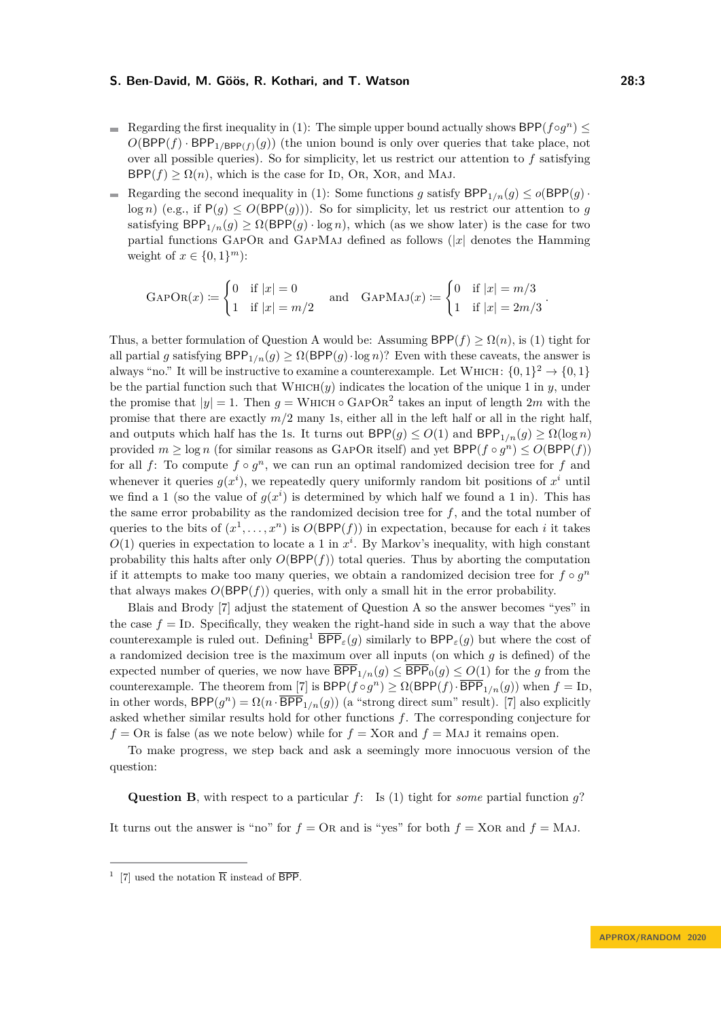- Regarding the first inequality in [\(1\)](#page-1-0): The simple upper bound actually shows  $BPP(f \circ g^n) \leq$  $O(BPP(f) \cdot BPP_{1/BPP(f)}(g))$  (the union bound is only over queries that take place, not over all possible queries). So for simplicity, let us restrict our attention to *f* satisfying  $BPP(f) \geq \Omega(n)$ , which is the case for ID, Or, XOR, and MAJ.
- Regarding the second inequality in [\(1\)](#page-1-0): Some functions *g* satisfy  $BPP_{1/n}(g) \leq o(BPP(g))$ .  $\log n$ ) (e.g., if  $P(g) \leq O(BPP(g))$ ). So for simplicity, let us restrict our attention to *g* satisfying  $BPP_{1/n}(g) \ge \Omega(BPP(g) \cdot \log n)$ , which (as we show later) is the case for two partial functions GAPOR and GAPMAJ defined as follows  $(|x|)$  denotes the Hamming weight of  $x \in \{0, 1\}^m$ :

$$
\text{GAPOR}(x) \coloneqq \begin{cases} 0 & \text{if } |x| = 0 \\ 1 & \text{if } |x| = m/2 \end{cases} \quad \text{and} \quad \text{GAPMAJ}(x) \coloneqq \begin{cases} 0 & \text{if } |x| = m/3 \\ 1 & \text{if } |x| = 2m/3 \end{cases}.
$$

Thus, a better formulation of Question A would be: Assuming  $BPP(f) \geq \Omega(n)$ , is [\(1\)](#page-1-0) tight for all partial *g* satisfying  $BPP_{1/n}(g) \ge \Omega(BPP(g) \cdot \log n)$ ? Even with these caveats, the answer is always "no." It will be instructive to examine a counterexample. Let WHICH:  $\{0,1\}^2 \rightarrow \{0,1\}$ be the partial function such that  $WHICH(y)$  indicates the location of the unique 1 in *y*, under the promise that  $|y| = 1$ . Then  $g = \text{WHICH} \circ \text{GAPOR}^2$  takes an input of length 2*m* with the promise that there are exactly  $m/2$  many 1s, either all in the left half or all in the right half, and outputs which half has the 1s. It turns out  $BPP(q) \leq O(1)$  and  $BPP_{1/n}(q) \geq \Omega(\log n)$ provided  $m \geq \log n$  (for similar reasons as GAPOR itself) and yet  $\mathsf{BPP}(f \circ g^n) \leq O(\mathsf{BPP}(f))$ for all  $f$ : To compute  $f \circ g^n$ , we can run an optimal randomized decision tree for  $f$  and whenever it queries  $g(x^i)$ , we repeatedly query uniformly random bit positions of  $x^i$  until we find a 1 (so the value of  $g(x^i)$  is determined by which half we found a 1 in). This has the same error probability as the randomized decision tree for *f*, and the total number of queries to the bits of  $(x^1, \ldots, x^n)$  is  $O(BPP(f))$  in expectation, because for each *i* it takes  $O(1)$  queries in expectation to locate a 1 in  $x^i$ . By Markov's inequality, with high constant probability this halts after only  $O(BPP(f))$  total queries. Thus by aborting the computation if it attempts to make too many queries, we obtain a randomized decision tree for  $f \circ g^n$ that always makes  $O(BPP(f))$  queries, with only a small hit in the error probability.

Blais and Brody [\[7\]](#page-13-6) adjust the statement of Question A so the answer becomes "yes" in the case  $f =$  ID. Specifically, they weaken the right-hand side in such a way that the above counterexample is ruled out. Defining<sup>[1](#page-2-0)</sup>  $\overline{BPP}_{\varepsilon}(g)$  similarly to  $BPP_{\varepsilon}(g)$  but where the cost of a randomized decision tree is the maximum over all inputs (on which *g* is defined) of the expected number of queries, we now have  $\overline{BPP}_{1/n}(g) \leq \overline{BPP}_0(g) \leq O(1)$  for the *g* from the counterexample. The theorem from [\[7\]](#page-13-6) is  $BPP(f \circ g^n) \ge \Omega(BPP(f) \cdot \overline{BPP}_{1/n}(g))$  when  $f = \text{Id},$ in other words,  $BPP(g^n) = \Omega(n \cdot \overline{BPP}_{1/n}(g))$  (a "strong direct sum" result). [\[7\]](#page-13-6) also explicitly asked whether similar results hold for other functions *f*. The corresponding conjecture for  $f = \text{OR}$  is false (as we note below) while for  $f = \text{XOR}$  and  $f = \text{MAJ}$  it remains open.

To make progress, we step back and ask a seemingly more innocuous version of the question:

**Question B**, with respect to a particular *f*: Is [\(1\)](#page-1-0) tight for *some* partial function *g*?

It turns out the answer is "no" for  $f = \text{OR}$  and is "yes" for both  $f = \text{XOR}$  and  $f = \text{MAJ}$ .

<span id="page-2-0"></span><sup>&</sup>lt;sup>1</sup> [\[7\]](#page-13-6) used the notation  $\overline{R}$  instead of  $\overline{BPP}$ .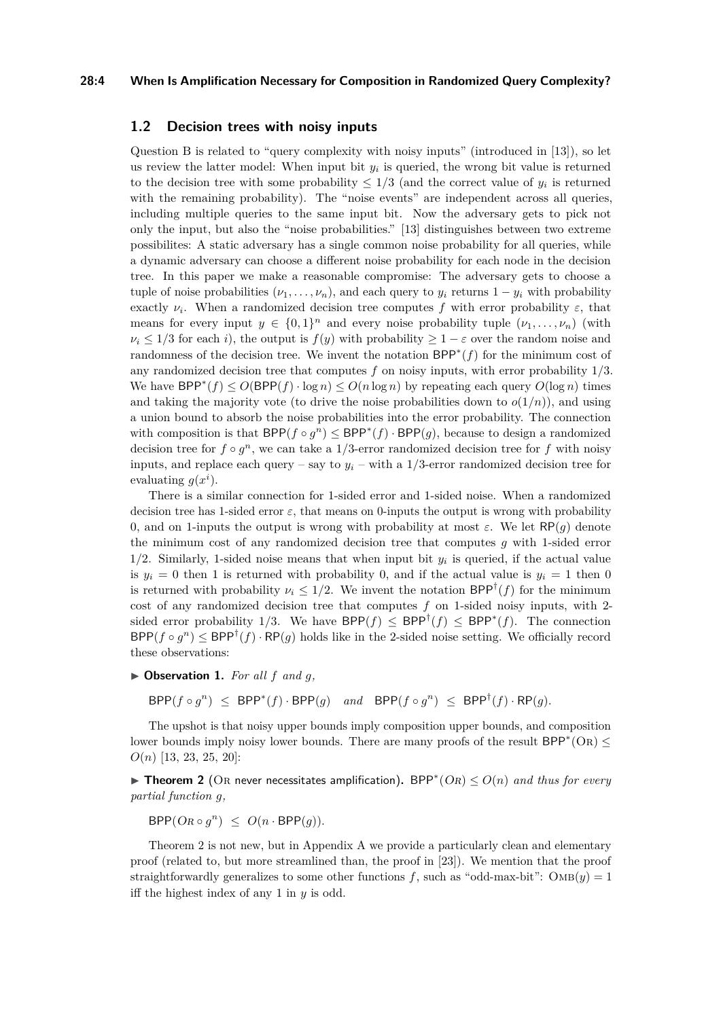#### **28:4 When Is Amplification Necessary for Composition in Randomized Query Complexity?**

## **1.2 Decision trees with noisy inputs**

Question B is related to "query complexity with noisy inputs" (introduced in [\[13\]](#page-13-7)), so let us review the latter model: When input bit  $y_i$  is queried, the wrong bit value is returned to the decision tree with some probability  $\leq 1/3$  (and the correct value of  $y_i$  is returned with the remaining probability). The "noise events" are independent across all queries, including multiple queries to the same input bit. Now the adversary gets to pick not only the input, but also the "noise probabilities." [\[13\]](#page-13-7) distinguishes between two extreme possibilites: A static adversary has a single common noise probability for all queries, while a dynamic adversary can choose a different noise probability for each node in the decision tree. In this paper we make a reasonable compromise: The adversary gets to choose a tuple of noise probabilities  $(\nu_1, \ldots, \nu_n)$ , and each query to  $y_i$  returns  $1 - y_i$  with probability exactly  $\nu_i$ . When a randomized decision tree computes f with error probability  $\varepsilon$ , that means for every input  $y \in \{0,1\}^n$  and every noise probability tuple  $(\nu_1, \ldots, \nu_n)$  (with  $\nu_i \leq 1/3$  for each *i*), the output is  $f(y)$  with probability  $\geq 1 - \varepsilon$  over the random noise and randomness of the decision tree. We invent the notation BPP<sup>∗</sup> (*f*) for the minimum cost of any randomized decision tree that computes *f* on noisy inputs, with error probability 1*/*3. We have  $BPP^*(f) \leq O(BPP(f) \cdot \log n) \leq O(n \log n)$  by repeating each query  $O(\log n)$  times and taking the majority vote (to drive the noise probabilities down to  $o(1/n)$ ), and using a union bound to absorb the noise probabilities into the error probability. The connection with composition is that  $BPP(f \circ g^n) \le BPP^*(f) \cdot BPP(g)$ , because to design a randomized decision tree for  $f \circ g^n$ , we can take a 1/3-error randomized decision tree for  $f$  with noisy inputs, and replace each query – say to  $y_i$  – with a 1/3-error randomized decision tree for evaluating  $g(x^i)$ .

There is a similar connection for 1-sided error and 1-sided noise. When a randomized decision tree has 1-sided error  $\varepsilon$ , that means on 0-inputs the output is wrong with probability 0, and on 1-inputs the output is wrong with probability at most *ε*. We let RP(*g*) denote the minimum cost of any randomized decision tree that computes *g* with 1-sided error 1/2. Similarly, 1-sided noise means that when input bit  $y_i$  is queried, if the actual value is  $y_i = 0$  then 1 is returned with probability 0, and if the actual value is  $y_i = 1$  then 0 is returned with probability  $\nu_i \leq 1/2$ . We invent the notation  $\text{BPP}^{\dagger}(f)$  for the minimum cost of any randomized decision tree that computes *f* on 1-sided noisy inputs, with 2 sided error probability 1/3. We have  $BPP(f) \le BPP^{\dagger}(f) \le BPP^*(f)$ . The connection  $\mathsf{BPP}(f \circ g^n) \leq \mathsf{BPP}^\dagger(f) \cdot \mathsf{RP}(g)$  holds like in the 2-sided noise setting. We officially record these observations:

<span id="page-3-1"></span> $\triangleright$  **Observation 1.** For all  $f$  and  $g$ ,

 $BPP(f \circ g^n) \leq BPP^*(f) \cdot BPP(g)$  *and*  $BPP(f \circ g^n) \leq BPP^{\dagger}(f) \cdot RP(g)$ *.* 

The upshot is that noisy upper bounds imply composition upper bounds, and composition lower bounds imply noisy lower bounds. There are many proofs of the result  $BPP^*(OR) \leq$ *O*(*n*) [\[13,](#page-13-7) [23,](#page-14-3) [25,](#page-14-4) [20\]](#page-14-5):

<span id="page-3-0"></span>■ Theorem 2 (OR never necessitates amplification). BPP<sup>\*</sup>(OR)  $\leq$  O(n) and thus for every *partial function g,*

 $BPP(OR \circ g^n) \leq O(n \cdot BPP(g)).$ 

[Theorem 2](#page-3-0) is not new, but in [Appendix A](#page-14-6) we provide a particularly clean and elementary proof (related to, but more streamlined than, the proof in [\[23\]](#page-14-3)). We mention that the proof straightforwardly generalizes to some other functions  $f$ , such as "odd-max-bit":  $\text{OMB}(y) = 1$ iff the highest index of any 1 in *y* is odd.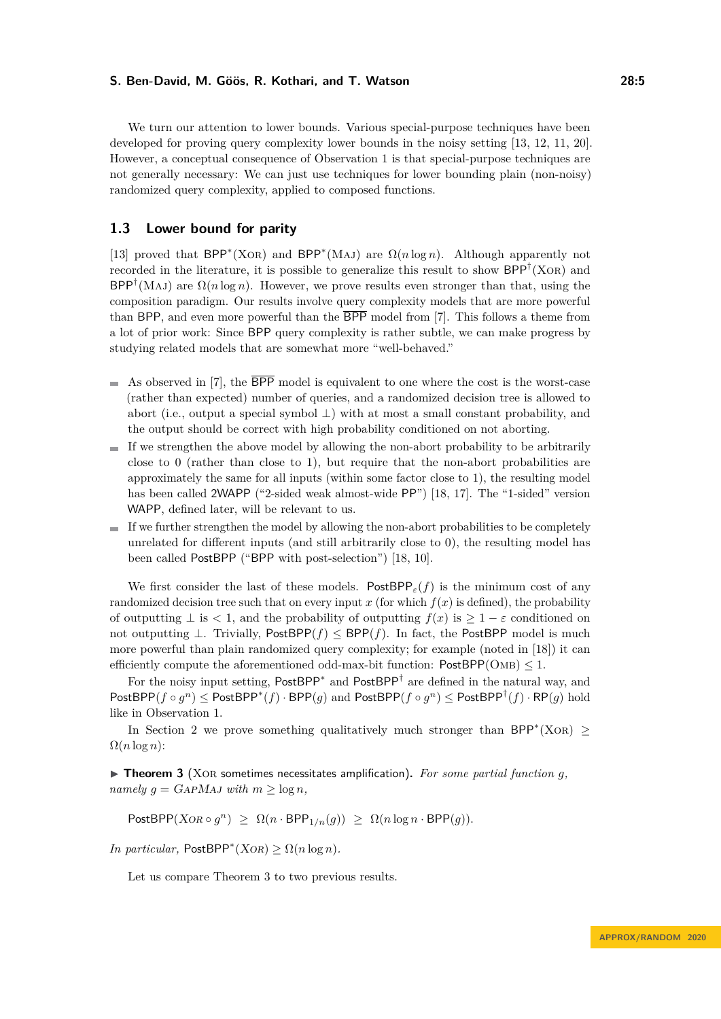We turn our attention to lower bounds. Various special-purpose techniques have been developed for proving query complexity lower bounds in the noisy setting [\[13,](#page-13-7) [12,](#page-13-8) [11,](#page-13-9) [20\]](#page-14-5). However, a conceptual consequence of [Observation 1](#page-3-1) is that special-purpose techniques are not generally necessary: We can just use techniques for lower bounding plain (non-noisy) randomized query complexity, applied to composed functions.

## <span id="page-4-1"></span>**1.3 Lower bound for parity**

[\[13\]](#page-13-7) proved that  $BPP^*(XOR)$  and  $BPP^*(MAJ)$  are  $\Omega(n \log n)$ . Although apparently not recorded in the literature, it is possible to generalize this result to show  $BPP^{\dagger}(\text{XOR})$  and  $BPP^{\dagger}(MAJ)$  are  $\Omega(n \log n)$ . However, we prove results even stronger than that, using the composition paradigm. Our results involve query complexity models that are more powerful than BPP, and even more powerful than the BPP model from [\[7\]](#page-13-6). This follows a theme from a lot of prior work: Since BPP query complexity is rather subtle, we can make progress by studying related models that are somewhat more "well-behaved."

- $\blacksquare$  As observed in [\[7\]](#page-13-6), the  $\overline{BPP}$  model is equivalent to one where the cost is the worst-case (rather than expected) number of queries, and a randomized decision tree is allowed to abort (i.e., output a special symbol  $\perp$ ) with at most a small constant probability, and the output should be correct with high probability conditioned on not aborting.
- $\blacksquare$  If we strengthen the above model by allowing the non-abort probability to be arbitrarily close to 0 (rather than close to 1), but require that the non-abort probabilities are approximately the same for all inputs (within some factor close to 1), the resulting model has been called 2WAPP ("2-sided weak almost-wide PP") [\[18,](#page-14-7) [17\]](#page-14-2). The "1-sided" version WAPP, defined later, will be relevant to us.
- $\blacksquare$  If we further strengthen the model by allowing the non-abort probabilities to be completely unrelated for different inputs (and still arbitrarily close to 0), the resulting model has been called PostBPP ("BPP with post-selection") [\[18,](#page-14-7) [10\]](#page-13-10).

We first consider the last of these models. PostBPP<sub> $\epsilon$ </sub> $(f)$  is the minimum cost of any randomized decision tree such that on every input  $x$  (for which  $f(x)$  is defined), the probability of outputting  $\perp$  is  $\lt 1$ , and the probability of outputting  $f(x)$  is  $\gt 1 - \varepsilon$  conditioned on not outputting  $⊥$ . Trivially, PostBPP( $f$ ) ≤ BPP( $f$ ). In fact, the PostBPP model is much more powerful than plain randomized query complexity; for example (noted in [\[18\]](#page-14-7)) it can efficiently compute the aforementioned odd-max-bit function:  $PostBPP(OMB) < 1$ .

For the noisy input setting,  $PostBPP^*$  and  $PostBPP^{\dagger}$  are defined in the natural way, and  $PostBPP(f \circ g^n) \leq PostBPP^*(f) \cdot BPP(g)$  and  $PostBPP(f \circ g^n) \leq PostBPP^{\dagger}(f) \cdot RP(g)$  hold like in [Observation 1.](#page-3-1)

In [Section 2](#page-6-0) we prove something qualitatively much stronger than BPP<sup>\*</sup>(XOR)  $\geq$  $\Omega(n \log n)$ :

<span id="page-4-0"></span> $\triangleright$  **Theorem 3** (XOR sometimes necessitates amplification). For some partial function g, *namely*  $q = \text{GAPMAJ}$  *with*  $m \geq \log n$ *,* 

 $\mathsf{PostBPP}(X \cap g^n) \ge \Omega(n \cdot \mathsf{BPP}_{1/n}(g)) \ge \Omega(n \log n \cdot \mathsf{BPP}(g)).$ 

*In particular,*  $\text{PostBPP}^*(XOR) \ge \Omega(n \log n)$ *.* 

Let us compare [Theorem 3](#page-4-0) to two previous results.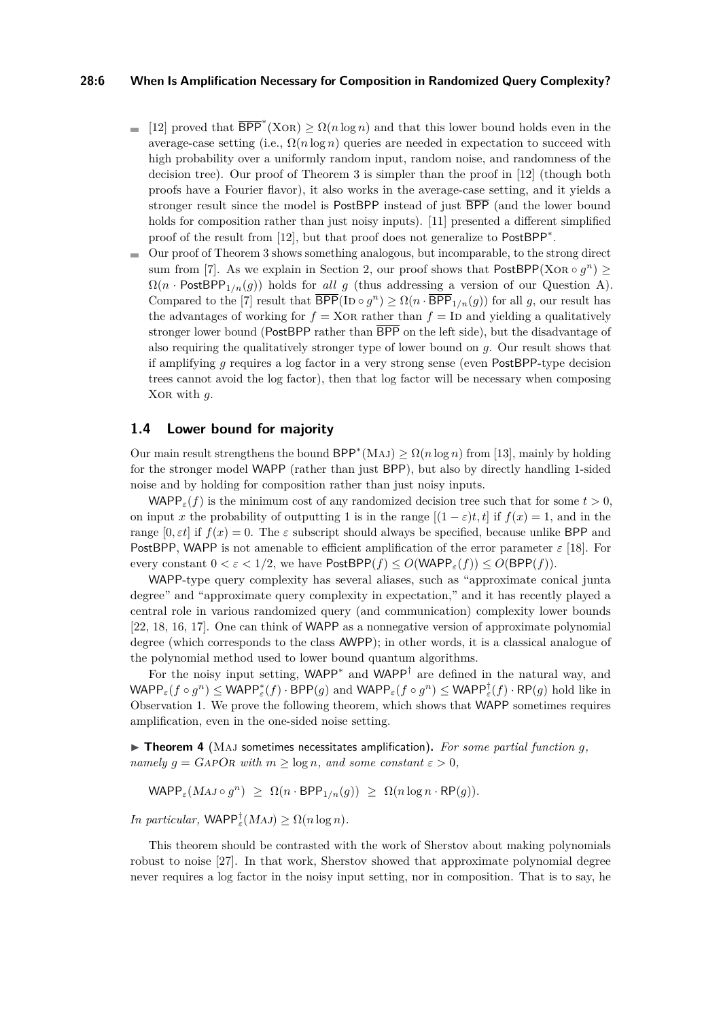#### **28:6 When Is Amplification Necessary for Composition in Randomized Query Complexity?**

- [\[12\]](#page-13-8) proved that  $\overline{BPP}^*(X\text{OR}) \geq \Omega(n \log n)$  and that this lower bound holds even in the average-case setting (i.e.,  $\Omega(n \log n)$  queries are needed in expectation to succeed with high probability over a uniformly random input, random noise, and randomness of the decision tree). Our proof of [Theorem 3](#page-4-0) is simpler than the proof in [\[12\]](#page-13-8) (though both proofs have a Fourier flavor), it also works in the average-case setting, and it yields a stronger result since the model is PostBPP instead of just BPP (and the lower bound holds for composition rather than just noisy inputs). [\[11\]](#page-13-9) presented a different simplified proof of the result from [\[12\]](#page-13-8), but that proof does not generalize to PostBPP<sup>\*</sup>.
- Our proof of [Theorem 3](#page-4-0) shows something analogous, but incomparable, to the strong direct sum from [\[7\]](#page-13-6). As we explain in [Section 2,](#page-6-0) our proof shows that  $PostBPP(XOR \circ g^n) \geq$  $\Omega(n \cdot \text{PostBPP}_{1/n}(q))$  holds for *all g* (thus addressing a version of our Question A). Compared to the [\[7\]](#page-13-6) result that  $\overline{\text{BPP}}(\text{ID} \circ g^n) \ge \Omega(n \cdot \overline{\text{BPP}}_{1/n}(g))$  for all *g*, our result has the advantages of working for  $f = XOR$  rather than  $f = ID$  and yielding a qualitatively stronger lower bound (PostBPP rather than  $\overline{BPP}$  on the left side), but the disadvantage of also requiring the qualitatively stronger type of lower bound on *g*. Our result shows that if amplifying *g* requires a log factor in a very strong sense (even PostBPP-type decision trees cannot avoid the log factor), then that log factor will be necessary when composing Xor with *g*.

## **1.4 Lower bound for majority**

Our main result strengthens the bound  $BPP^*(MAJ) \ge \Omega(n \log n)$  from [\[13\]](#page-13-7), mainly by holding for the stronger model WAPP (rather than just BPP), but also by directly handling 1-sided noise and by holding for composition rather than just noisy inputs.

WAPP<sub>ε</sub> $(f)$  is the minimum cost of any randomized decision tree such that for some  $t > 0$ , on input *x* the probability of outputting 1 is in the range  $[(1 - \varepsilon)t, t]$  if  $f(x) = 1$ , and in the range  $[0, \varepsilon t]$  if  $f(x) = 0$ . The  $\varepsilon$  subscript should always be specified, because unlike BPP and PostBPP, WAPP is not amenable to efficient amplification of the error parameter  $\varepsilon$  [\[18\]](#page-14-7). For every constant  $0 < \varepsilon < 1/2$ , we have  $\text{PostBPP}(f) \le O(\text{WAPP}_\varepsilon(f)) \le O(\text{BPP}(f)).$ 

WAPP-type query complexity has several aliases, such as "approximate conical junta degree" and "approximate query complexity in expectation," and it has recently played a central role in various randomized query (and communication) complexity lower bounds [\[22,](#page-14-8) [18,](#page-14-7) [16,](#page-14-0) [17\]](#page-14-2). One can think of WAPP as a nonnegative version of approximate polynomial degree (which corresponds to the class AWPP); in other words, it is a classical analogue of the polynomial method used to lower bound quantum algorithms.

For the noisy input setting,  $WAPP^*$  and  $WAPP^{\dagger}$  are defined in the natural way, and  $\mathsf{WAPP}_\varepsilon(f \circ g^n) \leq \mathsf{WAPP}_\varepsilon^*(f) \cdot \mathsf{BPP}(g)$  and  $\mathsf{WAPP}_\varepsilon(f \circ g^n) \leq \mathsf{WAPP}_\varepsilon^{\dagger}(f) \cdot \mathsf{RP}(g)$  hold like in [Observation 1.](#page-3-1) We prove the following theorem, which shows that WAPP sometimes requires amplification, even in the one-sided noise setting.

<span id="page-5-0"></span>▶ Theorem 4 (MAJ sometimes necessitates amplification). For some partial function *g*, *namely*  $g = \text{GAPOR with } m \geq \log n$ *, and some constant*  $\varepsilon > 0$ *,* 

 $\mathsf{WAPP}_\varepsilon(MAJ \circ g^n) \geq \Omega(n \cdot \mathsf{BPP}_{1/n}(g)) \geq \Omega(n \log n \cdot \mathsf{RP}(g)).$ 

*In particular,*  $\mathsf{WAPP}_\varepsilon^{\dagger}(MAJ) \ge \Omega(n \log n)$ *.* 

This theorem should be contrasted with the work of Sherstov about making polynomials robust to noise [\[27\]](#page-14-9). In that work, Sherstov showed that approximate polynomial degree never requires a log factor in the noisy input setting, nor in composition. That is to say, he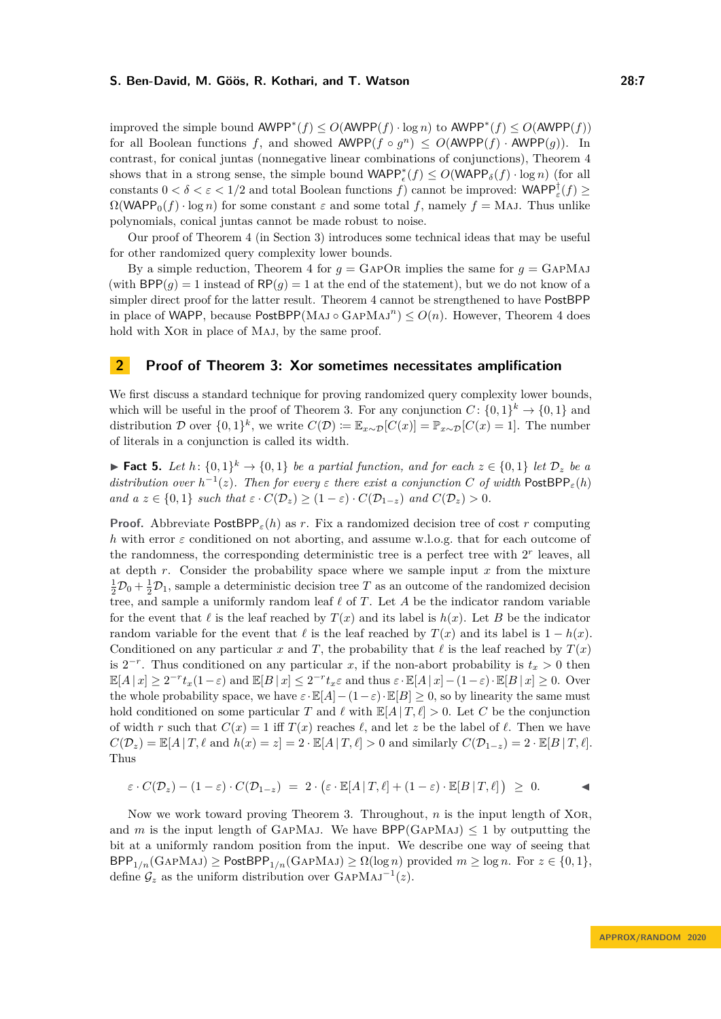improved the simple bound  $\text{AWPP}^*(f)$  ≤  $O(\text{AWPP}(f) \cdot \log n)$  to  $\text{AWPP}^*(f)$  ≤  $O(\text{AWPP}(f))$ for all Boolean functions *f*, and showed  $\text{AWPP}(f \circ g^n) \leq O(\text{AWPP}(f) \cdot \text{AWPP}(g))$ . In contrast, for conical juntas (nonnegative linear combinations of conjunctions), [Theorem 4](#page-5-0) shows that in a strong sense, the simple bound  $\text{WAPP}_\epsilon^*(f) \leq O(\text{WAPP}_\delta(f) \cdot \log n)$  (for all constants  $0 < \delta < \varepsilon < 1/2$  and total Boolean functions  $f$ ) cannot be improved: WAPP<sup>†</sup><sub> $\varepsilon$ </sub> $(f) \ge$  $\Omega(WAPP_0(f) \cdot \log n)$  for some constant  $\varepsilon$  and some total f, namely  $f = MAJ$ . Thus unlike polynomials, conical juntas cannot be made robust to noise.

Our proof of [Theorem 4](#page-5-0) (in [Section 3\)](#page-8-0) introduces some technical ideas that may be useful for other randomized query complexity lower bounds.

By a simple reduction, [Theorem 4](#page-5-0) for  $g = \text{GAPOR}$  implies the same for  $g = \text{GAPMAJ}$ (with  $BPP(g) = 1$  instead of  $RP(g) = 1$  at the end of the statement), but we do not know of a simpler direct proof for the latter result. [Theorem 4](#page-5-0) cannot be strengthened to have PostBPP in place of WAPP, because  $PostBPP(MAJ \circ GAPMAJ^n) \leq O(n)$ . However, [Theorem 4](#page-5-0) does hold with XOR in place of MAJ, by the same proof.

## <span id="page-6-0"></span>**2 Proof of [Theorem 3:](#page-4-0) Xor sometimes necessitates amplification**

We first discuss a standard technique for proving randomized query complexity lower bounds, which will be useful in the proof of [Theorem 3.](#page-4-0) For any conjunction  $C: \{0,1\}^k \to \{0,1\}$  and distribution D over  $\{0,1\}^k$ , we write  $C(\mathcal{D}) \coloneqq \mathbb{E}_{x \sim \mathcal{D}}[C(x)] = \mathbb{P}_{x \sim \mathcal{D}}[C(x) = 1]$ . The number of literals in a conjunction is called its width.

<span id="page-6-1"></span>▶ **Fact 5.** *Let*  $h: \{0,1\}^k \to \{0,1\}$  *be a partial function, and for each*  $z \in \{0,1\}$  *let*  $\mathcal{D}_z$  *be a distribution over*  $h^{-1}(z)$ *. Then for every*  $\varepsilon$  *there exist a conjunction C of width* PostBPP<sub> $\varepsilon$ </sub>(*h*) *and*  $a \, z \in \{0, 1\}$  *such that*  $\varepsilon \cdot C(\mathcal{D}_z) \geq (1 - \varepsilon) \cdot C(\mathcal{D}_{1-z})$  *and*  $C(\mathcal{D}_z) > 0$ *.* 

**Proof.** Abbreviate PostBPP*ε*(*h*) as *r*. Fix a randomized decision tree of cost *r* computing *h* with error  $\varepsilon$  conditioned on not aborting, and assume w.l.o.g. that for each outcome of the randomness, the corresponding deterministic tree is a perfect tree with  $2<sup>r</sup>$  leaves, all at depth *r*. Consider the probability space where we sample input *x* from the mixture  $\frac{1}{2}\mathcal{D}_0 + \frac{1}{2}\mathcal{D}_1$ , sample a deterministic decision tree *T* as an outcome of the randomized decision tree, and sample a uniformly random leaf  $\ell$  of  $T$ . Let  $A$  be the indicator random variable for the event that  $\ell$  is the leaf reached by  $T(x)$  and its label is  $h(x)$ . Let *B* be the indicator random variable for the event that  $\ell$  is the leaf reached by  $T(x)$  and its label is  $1 - h(x)$ . Conditioned on any particular *x* and *T*, the probability that  $\ell$  is the leaf reached by  $T(x)$ is  $2^{-r}$ . Thus conditioned on any particular *x*, if the non-abort probability is  $t_x > 0$  then  $\mathbb{E}[A \mid x] \geq 2^{-r}t_x(1-\varepsilon)$  and  $\mathbb{E}[B \mid x] \leq 2^{-r}t_x\varepsilon$  and thus  $\varepsilon \cdot \mathbb{E}[A \mid x] - (1-\varepsilon) \cdot \mathbb{E}[B \mid x] \geq 0$ . Over the whole probability space, we have  $\varepsilon \cdot \mathbb{E}[A] - (1 - \varepsilon) \cdot \mathbb{E}[B] > 0$ , so by linearity the same must hold conditioned on some particular *T* and  $\ell$  with  $\mathbb{E}[A | T, \ell] > 0$ . Let *C* be the conjunction of width *r* such that  $C(x) = 1$  iff  $T(x)$  reaches  $\ell$ , and let *z* be the label of  $\ell$ . Then we have  $C(\mathcal{D}_z) = \mathbb{E}[A | T, \ell \text{ and } h(x) = z] = 2 \cdot \mathbb{E}[A | T, \ell] > 0 \text{ and similarly } C(\mathcal{D}_{1-z}) = 2 \cdot \mathbb{E}[B | T, \ell].$ Thus

$$
\varepsilon \cdot C(\mathcal{D}_z) - (1 - \varepsilon) \cdot C(\mathcal{D}_{1-z}) = 2 \cdot (\varepsilon \cdot \mathbb{E}[A \mid T, \ell] + (1 - \varepsilon) \cdot \mathbb{E}[B \mid T, \ell]) \geq 0.
$$

<span id="page-6-2"></span>Now we work toward proving [Theorem 3.](#page-4-0) Throughout, *n* is the input length of Xor, and *m* is the input length of GAPMAJ. We have  $BPP(GAPMAJ) \leq 1$  by outputting the bit at a uniformly random position from the input. We describe one way of seeing that  $BPP_{1/n}(GAPMAJ) \geq \text{PostBPP}_{1/n}(GAPMAJ) \geq \Omega(\log n)$  provided  $m \geq \log n$ . For  $z \in \{0,1\}$ , define  $\mathcal{G}_z$  as the uniform distribution over  $\text{GapMAJ}^{-1}(z)$ .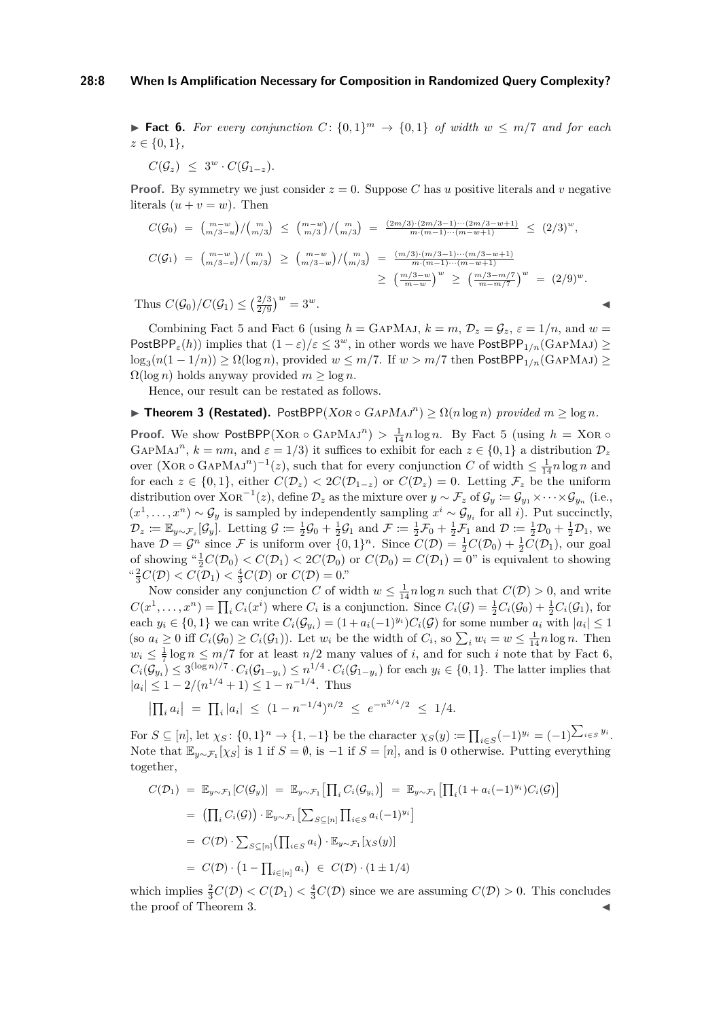#### **28:8 When Is Amplification Necessary for Composition in Randomized Query Complexity?**

▶ **Fact 6.** For every conjunction  $C: \{0,1\}^m \rightarrow \{0,1\}$  of width  $w ≤ m/7$  and for each *z* ∈ {0*,* 1}*,*

$$
C(\mathcal{G}_z) \leq 3^w \cdot C(\mathcal{G}_{1-z}).
$$

**Proof.** By symmetry we just consider  $z = 0$ . Suppose C has *u* positive literals and *v* negative literals  $(u + v = w)$ . Then

$$
C(\mathcal{G}_0) = {m-w \choose m/3-u}/ {m \choose m/3} \le {m-w \choose m/3}/ {m \choose m/3} = \frac{(2m/3)\cdot(2m/3-1)\cdots(2m/3-w+1)}{m\cdot(m-1)\cdots(m-w+1)} \le (2/3)^w,
$$
  
\n
$$
C(\mathcal{G}_1) = {m-w \choose m/3-v}/ {m \choose m/3} \ge {m-w \choose m/3-w}/ {m \choose m/3} = \frac{(m/3)\cdot(m/3-1)\cdots(m-2w+1)}{m\cdot(m-1)\cdots(m-w+1)}
$$
  
\n
$$
\ge \left(\frac{m/3-w}{m-w}\right)^w \ge \left(\frac{m/3-m/7}{m-m/7}\right)^w = (2/9)^w.
$$
  
\nthus  $C(\mathcal{G}_0)/C(\mathcal{G}_1) \le \left(\frac{2/3}{2/0}\right)^w = 3^w.$ 

Thus  $C(\mathcal{G}_0)/C(\mathcal{G}_1) \leq (\frac{2/3}{2/9})^w$ 

Combining [Fact 5](#page-6-1) and [Fact 6](#page-6-2) (using  $h = \text{GapMAJ}$ ,  $k = m$ ,  $\mathcal{D}_z = \mathcal{G}_z$ ,  $\varepsilon = 1/n$ , and  $w =$ PostBPP<sub> $\varepsilon$ </sub>(*h*)) implies that  $(1 - \varepsilon)/\varepsilon \leq 3^w$ , in other words we have PostBPP<sub>1/*n*</sub>(GAPMAJ) ≥  $\log_3(n(1-1/n))$  ≥  $\Omega(\log n)$ , provided  $w \leq m/7$ . If  $w > m/7$  then PostBPP<sub>1/n</sub>(GAPMAJ) ≥  $\Omega(\log n)$  holds anyway provided  $m \geq \log n$ .

Hence, our result can be restated as follows.

## <span id="page-7-0"></span> $\blacktriangleright$  **Theorem 3 (Restated).** PostBPP(XOR ◦ GAPMAJ<sup>n</sup>) ≥  $\Omega(n \log n)$  provided  $m \ge \log n$ *.*

**Proof.** We show PostBPP(XOR ◦ GAPMAJ<sup>n</sup>) >  $\frac{1}{14}n \log n$ . By [Fact 5](#page-6-1) (using  $h = \text{XOR}$  ◦ GAPMAJ<sup>n</sup>,  $k = nm$ , and  $\varepsilon = 1/3$ ) it suffices to exhibit for each  $z \in \{0, 1\}$  a distribution  $\mathcal{D}_z$ over  $(XOR \circ \text{GAPMAJ}^n)^{-1}(z)$ , such that for every conjunction *C* of width  $\leq \frac{1}{14}n \log n$  and for each  $z \in \{0,1\}$ , either  $C(\mathcal{D}_z) < 2C(\mathcal{D}_{1-z})$  or  $C(\mathcal{D}_z) = 0$ . Letting  $\mathcal{F}_z$  be the uniform distribution over  $XOR^{-1}(z)$ , define  $\mathcal{D}_z$  as the mixture over  $y \sim \mathcal{F}_z$  of  $\mathcal{G}_y := \mathcal{G}_{y_1} \times \cdots \times \mathcal{G}_{y_n}$  (i.e.,  $(x^1, \ldots, x^n) \sim \mathcal{G}_y$  is sampled by independently sampling  $x^i \sim \mathcal{G}_{y_i}$  for all *i*). Put succinctly,  $\mathcal{D}_z \coloneqq \mathbb{E}_{y \sim \mathcal{F}_z}[\mathcal{G}_y]$ . Letting  $\mathcal{G} \coloneqq \frac{1}{2}\mathcal{G}_0 + \frac{1}{2}\mathcal{G}_1$  and  $\mathcal{F} \coloneqq \frac{1}{2}\mathcal{F}_0 + \frac{1}{2}\mathcal{F}_1$  and  $\mathcal{D} \coloneqq \frac{1}{2}\mathcal{D}_0 + \frac{1}{2}\mathcal{D}_1$ , we have  $\mathcal{D} = \mathcal{G}^n$  since  $\mathcal{F}$  is uniform over  $\{0,1\}^n$ . Since  $C(\mathcal{D}) = \frac{1}{2}C(\mathcal{D}_0) + \frac{1}{2}C(\mathcal{D}_1)$ , our goal of showing  $\frac{a}{2}C(\mathcal{D}_0) < C(\mathcal{D}_1) < 2C(\mathcal{D}_0)$  or  $C(\mathcal{D}_0) = C(\mathcal{D}_1) = 0$ " is equivalent to showing " $\frac{2}{3}C(\mathcal{D}) < C(\mathcal{D}_1) < \frac{4}{3}C(\mathcal{D})$  or  $C(\mathcal{D}) = 0$ ."

Now consider any conjunction *C* of width  $w \leq \frac{1}{14}n \log n$  such that  $C(\mathcal{D}) > 0$ , and write  $C(x^1, \ldots, x^n) = \prod_i C_i(x^i)$  where  $C_i$  is a conjunction. Since  $C_i(\mathcal{G}) = \frac{1}{2}C_i(\mathcal{G}_0) + \frac{1}{2}C_i(\mathcal{G}_1)$ , for each  $y_i \in \{0,1\}$  we can write  $C_i(\mathcal{G}_{y_i}) = (1 + a_i(-1)^{y_i})C_i(\mathcal{G})$  for some number  $a_i$  with  $|a_i| \leq 1$ (so  $a_i \geq 0$  iff  $C_i(\mathcal{G}_0) \geq C_i(\mathcal{G}_1)$ ). Let  $w_i$  be the width of  $C_i$ , so  $\sum_i w_i = w \leq \frac{1}{14}n \log n$ . Then  $w_i \leq \frac{1}{7} \log n \leq m/7$  for at least  $n/2$  many values of *i*, and for such *i* note that by [Fact 6,](#page-6-2)  $C_i(\mathcal{G}_{y_i}) \leq 3^{(\log n)/7} \cdot C_i(\mathcal{G}_{1-y_i}) \leq n^{1/4} \cdot C_i(\mathcal{G}_{1-y_i})$  for each  $y_i \in \{0,1\}$ . The latter implies that  $|a_i| \leq 1 - 2/(n^{1/4} + 1) \leq 1 - n^{-1/4}$ . Thus

$$
\left|\prod_i a_i\right| \ = \ \prod_i |a_i| \ \le \ (1 - n^{-1/4})^{n/2} \ \le \ e^{-n^{3/4}/2} \ \le \ 1/4.
$$

For  $S \subseteq [n]$ , let  $\chi_S: \{0,1\}^n \to \{1,-1\}$  be the character  $\chi_S(y) \coloneqq \prod_{i \in S} (-1)^{y_i} = (-1)^{\sum_{i \in S} y_i}$ . Note that  $\mathbb{E}_{y \sim \mathcal{F}_1}[\chi_S]$  is 1 if *S* =  $\emptyset$ , is −1 if *S* = [*n*], and is 0 otherwise. Putting everything together,

$$
C(\mathcal{D}_1) = \mathbb{E}_{y \sim \mathcal{F}_1} [C(\mathcal{G}_y)] = \mathbb{E}_{y \sim \mathcal{F}_1} \left[ \prod_i C_i(\mathcal{G}_{y_i}) \right] = \mathbb{E}_{y \sim \mathcal{F}_1} \left[ \prod_i (1 + a_i(-1)^{y_i}) C_i(\mathcal{G}) \right]
$$
  
\n
$$
= \left( \prod_i C_i(\mathcal{G}) \right) \cdot \mathbb{E}_{y \sim \mathcal{F}_1} \left[ \sum_{S \subseteq [n]} \prod_{i \in S} a_i (-1)^{y_i} \right]
$$
  
\n
$$
= C(\mathcal{D}) \cdot \sum_{S \subseteq [n]} \left( \prod_{i \in S} a_i \right) \cdot \mathbb{E}_{y \sim \mathcal{F}_1} [\chi_S(y)]
$$
  
\n
$$
= C(\mathcal{D}) \cdot \left( 1 - \prod_{i \in [n]} a_i \right) \in C(\mathcal{D}) \cdot \left( 1 \pm 1/4 \right)
$$

which implies  $\frac{2}{3}C(\mathcal{D}) < C(\mathcal{D}_1) < \frac{4}{3}C(\mathcal{D})$  since we are assuming  $C(\mathcal{D}) > 0$ . This concludes the proof of [Theorem 3.](#page-7-0)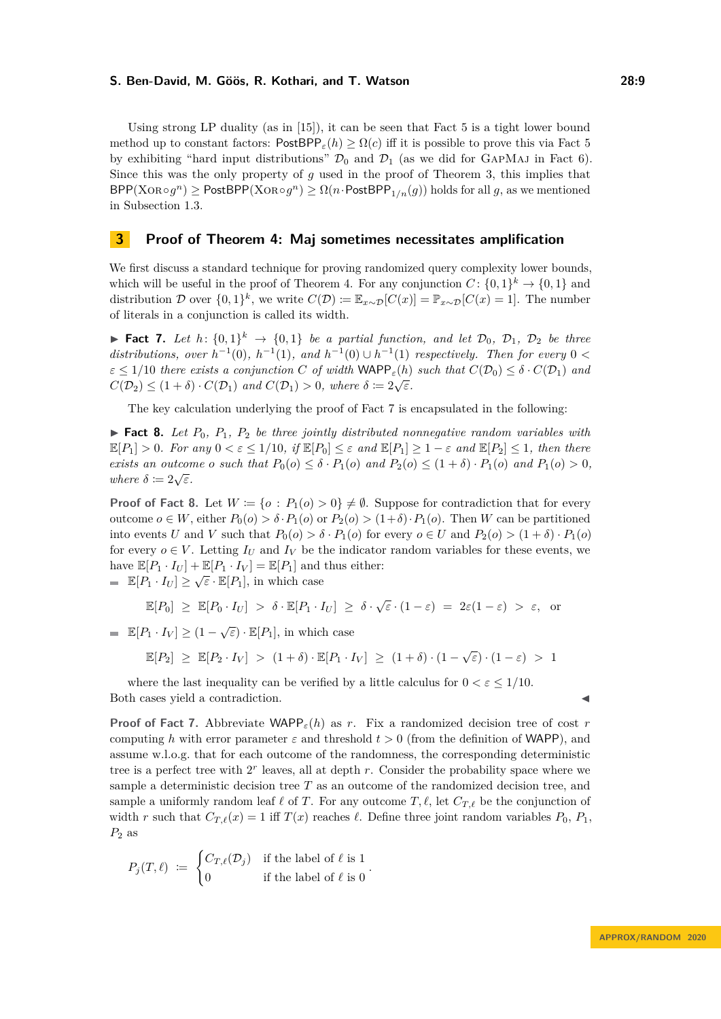Using strong LP duality (as in [\[15\]](#page-13-11)), it can be seen that [Fact 5](#page-6-1) is a tight lower bound method up to constant factors:  $\text{PostBPP}_{\varepsilon}(h) \geq \Omega(c)$  iff it is possible to prove this via [Fact 5](#page-6-1) by exhibiting "hard input distributions"  $\mathcal{D}_0$  and  $\mathcal{D}_1$  (as we did for GAPMAJ in [Fact 6\)](#page-6-2). Since this was the only property of *g* used in the proof of [Theorem 3,](#page-7-0) this implies that  $BPP(XOR \circ g^n) \geq PostBPP(XOR \circ g^n) \geq \Omega(n \cdot PostBPP_{1/n}(g))$  holds for all *g*, as we mentioned in [Subsection 1.3.](#page-4-1)

## <span id="page-8-0"></span>**3 Proof of [Theorem 4:](#page-5-0) Maj sometimes necessitates amplification**

We first discuss a standard technique for proving randomized query complexity lower bounds, which will be useful in the proof of [Theorem 4.](#page-5-0) For any conjunction  $C: \{0,1\}^k \to \{0,1\}$  and distribution D over  $\{0,1\}^k$ , we write  $C(\mathcal{D}) \coloneqq \mathbb{E}_{x \sim \mathcal{D}}[C(x)] = \mathbb{P}_{x \sim \mathcal{D}}[C(x) = 1]$ . The number of literals in a conjunction is called its width.

<span id="page-8-1"></span>▶ **Fact 7.** *Let h*:  $\{0,1\}$ <sup>*k*</sup> →  $\{0,1\}$  *be a partial function, and let*  $\mathcal{D}_0$ *,*  $\mathcal{D}_1$ *,*  $\mathcal{D}_2$  *be three* distributions, over  $h^{-1}(0)$ ,  $h^{-1}(1)$ , and  $h^{-1}(0) \cup h^{-1}(1)$  respectively. Then for every  $0 <$  $\varepsilon \leq 1/10$  *there exists a conjunction C of width*  $\mathsf{WAPP}_\varepsilon(h)$  *such that*  $C(\mathcal{D}_0) \leq \delta \cdot C(\mathcal{D}_1)$  *and*  $C(D_2) \leq (1+\delta) \cdot C(D_1)$  and  $C(D_1) > 0$ , where  $\delta := 2\sqrt{\varepsilon}$ .

The key calculation underlying the proof of [Fact 7](#page-8-1) is encapsulated in the following:

<span id="page-8-2"></span>**Fact 8.** Let  $P_0$ ,  $P_1$ ,  $P_2$  be three jointly distributed nonnegative random variables with  $\mathbb{E}[P_1] > 0$ *. For any*  $0 < \varepsilon \le 1/10$ *, if*  $\mathbb{E}[P_0] \le \varepsilon$  *and*  $\mathbb{E}[P_1] \ge 1 - \varepsilon$  *and*  $\mathbb{E}[P_2] \le 1$ *, then there exists an outcome o such that*  $P_0(o) \leq \delta \cdot P_1(o)$  *and*  $P_2(o) \leq (1 + \delta) \cdot P_1(o)$  *and*  $P_1(o) > 0$ *, where*  $\delta := 2\sqrt{\varepsilon}$ *.* 

**Proof of [Fact 8.](#page-8-2)** Let  $W := \{o : P_1(o) > 0\} \neq \emptyset$ . Suppose for contradiction that for every outcome *o* ∈ *W*, either *P*0(*o*) *> δ* ·*P*1(*o*) or *P*2(*o*) *>* (1+*δ*)·*P*1(*o*). Then *W* can be partitioned into events *U* and *V* such that  $P_0(o) > \delta \cdot P_1(o)$  for every  $o \in U$  and  $P_2(o) > (1 + \delta) \cdot P_1(o)$ for every  $o \in V$ . Letting  $I_U$  and  $I_V$  be the indicator random variables for these events, we have  $\mathbb{E}[P_1 \cdot I_U] + \mathbb{E}[P_1 \cdot I_V] = \mathbb{E}[P_1]$  and thus either:

 $\mathbb{E}[P_1 \cdot I_U] \geq \sqrt{\varepsilon} \cdot \mathbb{E}[P_1]$ , in which case

$$
\mathbb{E}[P_0] \geq \mathbb{E}[P_0 \cdot I_U] > \delta \cdot \mathbb{E}[P_1 \cdot I_U] \geq \delta \cdot \sqrt{\varepsilon} \cdot (1-\varepsilon) = 2\varepsilon(1-\varepsilon) > \varepsilon, \text{ or}
$$

 $\mathbb{E}[P_1 \cdot I_V] \geq (1 - \sqrt{\varepsilon}) \cdot \mathbb{E}[P_1]$ , in which case

$$
\mathbb{E}[P_2] \geq \mathbb{E}[P_2 \cdot I_V] > (1+\delta) \cdot \mathbb{E}[P_1 \cdot I_V] \geq (1+\delta) \cdot (1-\sqrt{\varepsilon}) \cdot (1-\varepsilon) > 1
$$

where the last inequality can be verified by a little calculus for  $0 < \varepsilon < 1/10$ . Both cases yield a contradiction.

**Proof of [Fact 7.](#page-8-1)** Abbreviate WAPP*ε*(*h*) as *r*. Fix a randomized decision tree of cost *r* computing *h* with error parameter  $\varepsilon$  and threshold  $t > 0$  (from the definition of WAPP), and assume w.l.o.g. that for each outcome of the randomness, the corresponding deterministic tree is a perfect tree with 2<sup>r</sup> leaves, all at depth *r*. Consider the probability space where we sample a deterministic decision tree *T* as an outcome of the randomized decision tree, and sample a uniformly random leaf  $\ell$  of *T*. For any outcome  $T, \ell$ , let  $C_{T,\ell}$  be the conjunction of width *r* such that  $C_{T,\ell}(x) = 1$  iff  $T(x)$  reaches  $\ell$ . Define three joint random variables  $P_0, P_1$ , *P*<sup>2</sup> as

$$
P_j(T,\ell) \ := \ \begin{cases} C_{T,\ell}(\mathcal{D}_j) & \text{if the label of } \ell \text{ is } 1 \\ 0 & \text{if the label of } \ell \text{ is } 0 \end{cases}.
$$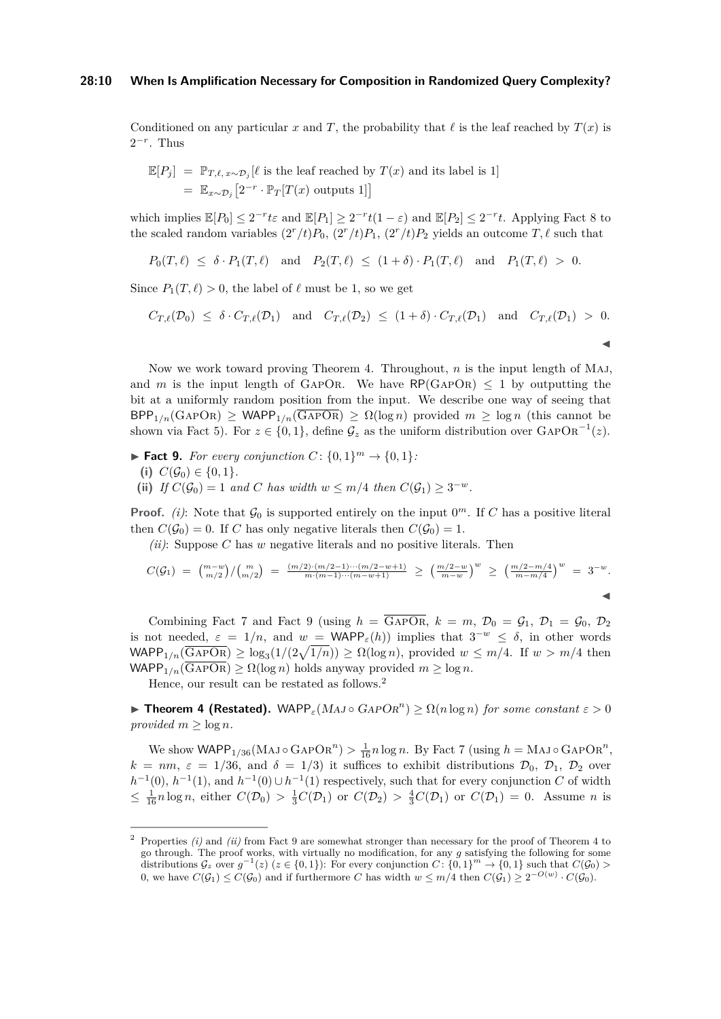#### **28:10 When Is Amplification Necessary for Composition in Randomized Query Complexity?**

Conditioned on any particular *x* and *T*, the probability that  $\ell$  is the leaf reached by  $T(x)$  is  $2^{-r}$ . Thus

$$
\mathbb{E}[P_j] = \mathbb{P}_{T,\ell,x \sim \mathcal{D}_j}[\ell \text{ is the leaf reached by } T(x) \text{ and its label is 1}]
$$
  
=  $\mathbb{E}_{x \sim \mathcal{D}_j} [2^{-r} \cdot \mathbb{P}_T[T(x) \text{ outputs 1}]]$ 

which implies  $\mathbb{E}[P_0] \leq 2^{-r}t\varepsilon$  and  $\mathbb{E}[P_1] \geq 2^{-r}t(1-\varepsilon)$  and  $\mathbb{E}[P_2] \leq 2^{-r}t$ . Applying [Fact 8](#page-8-2) to the scaled random variables  $(2^r/t)P_0$ ,  $(2^r/t)P_1$ ,  $(2^r/t)P_2$  yields an outcome  $T, \ell$  such that

$$
P_0(T,\ell) \leq \delta \cdot P_1(T,\ell) \quad \text{and} \quad P_2(T,\ell) \leq (1+\delta) \cdot P_1(T,\ell) \quad \text{and} \quad P_1(T,\ell) > 0.
$$

Since  $P_1(T, \ell) > 0$ , the label of  $\ell$  must be 1, so we get

$$
C_{T,\ell}(\mathcal{D}_0) \leq \delta \cdot C_{T,\ell}(\mathcal{D}_1) \quad \text{and} \quad C_{T,\ell}(\mathcal{D}_2) \leq (1+\delta) \cdot C_{T,\ell}(\mathcal{D}_1) \quad \text{and} \quad C_{T,\ell}(\mathcal{D}_1) > 0.
$$

J

Now we work toward proving [Theorem 4.](#page-5-0) Throughout, *n* is the input length of Maj, and *m* is the input length of GAPOR. We have  $\mathsf{RP}(\mathsf{GAPOR}) \leq 1$  by outputting the bit at a uniformly random position from the input. We describe one way of seeing that  $BPP_{1/n}(GAPOR) \geq WAPP_{1/n}(GAPOR) \geq \Omega(\log n)$  provided  $m \geq \log n$  (this cannot be shown via [Fact 5\)](#page-6-1). For  $z \in \{0,1\}$ , define  $\mathcal{G}_z$  as the uniform distribution over  $\text{GAPOR}^{-1}(z)$ .

<span id="page-9-0"></span>▶ **Fact 9.** *For every conjunction*  $C: \{0, 1\}^m \rightarrow \{0, 1\}$ *:* 

- (i)  $C(\mathcal{G}_0) \in \{0, 1\}.$
- (ii) *If*  $C(\mathcal{G}_0) = 1$  *and C has width*  $w \leq m/4$  *then*  $C(\mathcal{G}_1) \geq 3^{-w}$ *.*

**Proof.** (i): Note that  $\mathcal{G}_0$  is supported entirely on the input  $0^m$ . If C has a positive literal then  $C(\mathcal{G}_0) = 0$ . If *C* has only negative literals then  $C(\mathcal{G}_0) = 1$ .

*(ii)*: Suppose *C* has *w* negative literals and no positive literals. Then

$$
C(\mathcal{G}_1) = {m-w \choose m/2} / {m \choose m/2} = \frac{(m/2) \cdot (m/2 - 1) \cdots (m/2 - w + 1)}{m \cdot (m-1) \cdots (m-w+1)} \ge \left(\frac{m/2 - w}{m-w}\right)^w \ge \left(\frac{m/2 - m/4}{m-m/4}\right)^w = 3^{-w}.
$$

Combining [Fact 7](#page-8-1) and [Fact 9](#page-9-0) (using  $h = \overline{GAPOR}$ ,  $k = m$ ,  $\mathcal{D}_0 = \mathcal{G}_1$ ,  $\mathcal{D}_1 = \mathcal{G}_0$ ,  $\mathcal{D}_2$ is not needed,  $\varepsilon = 1/n$ , and  $w = \text{WAPP}_\varepsilon(h)$  implies that  $3^{-w} \leq \delta$ , in other words  $\mathsf{WAPP}_{1/n}(\overline{\mathrm{GAPOR}}) \geq \log_3(1/(2\sqrt{1/n})) \geq \Omega(\log n)$ , provided  $w \leq m/4$ . If  $w > m/4$  then  $WAPP_{1/n}(\overline{GAPOR}) \ge \Omega(\log n)$  holds anyway provided  $m \ge \log n$ .

Hence, our result can be restated as follows.[2](#page-9-1)

<span id="page-9-2"></span>**Fineorem 4 (Restated).** WAPP<sub>ε</sub>(MAJ  $\circ$  GAPOR<sup>n</sup>)  $\geq \Omega(n \log n)$  for some constant  $\varepsilon > 0$ *provided*  $m \geq \log n$ *.* 

We show  $\text{WAPP}_{1/36}(\text{MAJ} \circ \text{GAPOR}^n) > \frac{1}{16}n \log n$ . By [Fact 7](#page-8-1) (using  $h = \text{MAJ} \circ \text{GAPOR}^n$ ,  $k = nm$ ,  $\varepsilon = 1/36$ , and  $\delta = 1/3$ ) it suffices to exhibit distributions  $\mathcal{D}_0$ ,  $\mathcal{D}_1$ ,  $\mathcal{D}_2$  over  $h^{-1}(0)$ ,  $h^{-1}(1)$ , and  $h^{-1}(0) \cup h^{-1}(1)$  respectively, such that for every conjunction *C* of width  $\leq \frac{1}{16}n\log n$ , either  $C(\mathcal{D}_0) > \frac{1}{3}C(\mathcal{D}_1)$  or  $C(\mathcal{D}_2) > \frac{4}{3}C(\mathcal{D}_1)$  or  $C(\mathcal{D}_1) = 0$ . Assume *n* is

<span id="page-9-1"></span><sup>2</sup> Properties *(i)* and *(ii)* from [Fact 9](#page-9-0) are somewhat stronger than necessary for the proof of [Theorem 4](#page-5-0) to go through. The proof works, with virtually no modification, for any *g* satisfying the following for some distributions  $\mathcal{G}_z$  over  $g^{-1}(z)$  ( $z \in \{0,1\}$ ): For every conjunction  $C$ : {0, 1}<sup>m</sup>  $\rightarrow$  {0, 1} such that  $C(\mathcal{G}_0)$  > 0, we have  $C(\mathcal{G}_1) \leq C(\mathcal{G}_0)$  and if furthermore *C* has width  $w \leq m/4$  then  $C(\mathcal{G}_1) \geq 2^{-O(w)} \cdot C(\mathcal{G}_0)$ .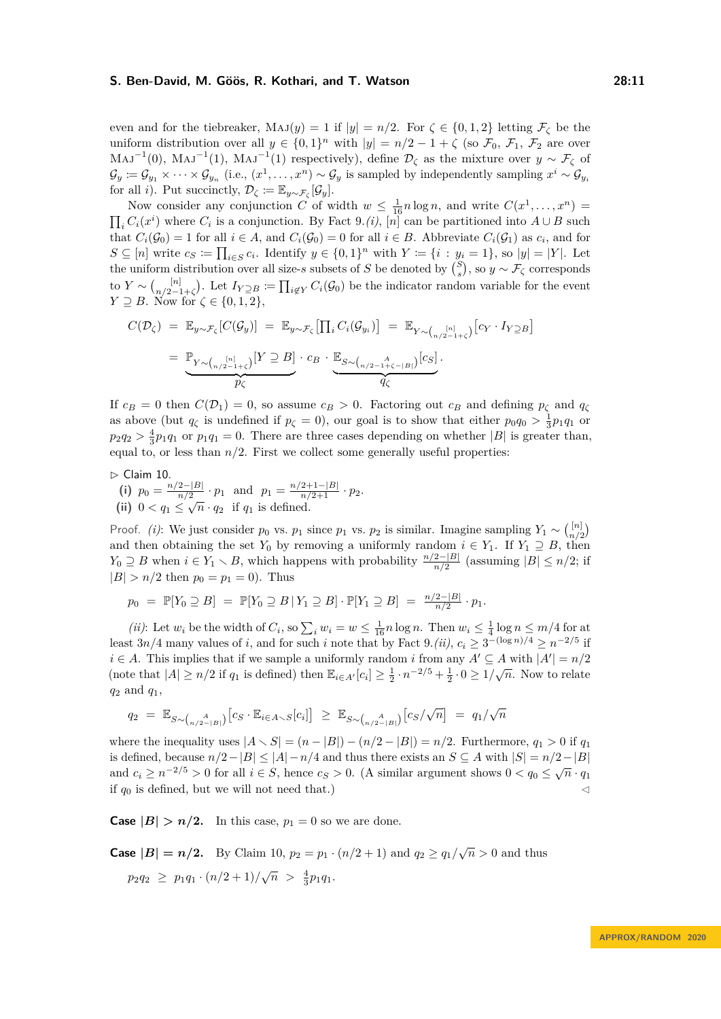even and for the tiebreaker,  $\text{Maj}(y) = 1$  if  $|y| = n/2$ . For  $\zeta \in \{0, 1, 2\}$  letting  $\mathcal{F}_{\zeta}$  be the uniform distribution over all  $y \in \{0,1\}^n$  with  $|y| = n/2 - 1 + \zeta$  (so  $\mathcal{F}_0$ ,  $\mathcal{F}_1$ ,  $\mathcal{F}_2$  are over  $MAJ^{-1}(0)$ ,  $MAJ^{-1}(1)$ ,  $MAJ^{-1}(1)$  respectively), define  $\mathcal{D}_{\zeta}$  as the mixture over  $y \sim \mathcal{F}_{\zeta}$  of  $\mathcal{G}_y := \mathcal{G}_{y_1} \times \cdots \times \mathcal{G}_{y_n}$  (i.e.,  $(x^1, \ldots, x^n) \sim \mathcal{G}_y$  is sampled by independently sampling  $x^i \sim \mathcal{G}_{y_i}$ for all *i*). Put succinctly,  $\mathcal{D}_{\zeta} := \mathbb{E}_{y \sim \mathcal{F}_{\zeta}}[\mathcal{G}_y].$ 

Now consider any conjunction *C* of width  $w \leq \frac{1}{16}n \log n$ , and write  $C(x^1, \ldots, x^n)$  =  $\prod_i C_i(x^i)$  where  $C_i$  is a conjunction. By [Fact 9.](#page-9-0)*(i)*, [*n*] can be partitioned into  $A \cup B$  such that  $C_i(\mathcal{G}_0) = 1$  for all  $i \in A$ , and  $C_i(\mathcal{G}_0) = 0$  for all  $i \in B$ . Abbreviate  $C_i(\mathcal{G}_1)$  as  $c_i$ , and for  $S \subseteq [n]$  write  $c_S \coloneqq \prod_{i \in S} c_i$ . Identify  $y \in \{0,1\}^n$  with  $Y \coloneqq \{i : y_i = 1\}$ , so  $|y| = |Y|$ . Let the uniform distribution over all size-*s* subsets of *S* be denoted by  $\binom{S}{s}$ , so  $y \sim \mathcal{F}_\zeta$  corresponds to *Y* ∼ (<sub>*n*/2-1</sub>  $n/2-1+\zeta$ . Let  $I_{Y\supseteq B} := \prod_{i\notin Y} C_i(\mathcal{G}_0)$  be the indicator random variable for the event *Y*  $\supseteq$  *B*. Now for  $\zeta \in \{0, 1, 2\},\$ 

$$
C(\mathcal{D}_{\zeta}) = \mathbb{E}_{y \sim \mathcal{F}_{\zeta}}[C(\mathcal{G}_{y})] = \mathbb{E}_{y \sim \mathcal{F}_{\zeta}}[\prod_{i} C_{i}(\mathcal{G}_{y_{i}})] = \mathbb{E}_{Y \sim {n/2-1+\zeta \choose n/2-1+\zeta}}[c_{Y} \cdot I_{Y \supseteq B}]
$$
  
= 
$$
\underbrace{\mathbb{P}_{Y \sim {n/2-1+\zeta \choose n/2-1+\zeta}}[Y \supseteq B] \cdot c_{B} \cdot \underbrace{\mathbb{E}_{S \sim {n/2-1+\zeta-|B| \choose n/2-1+\zeta-|B|}}[c_{S}]}_{q_{\zeta}}.
$$

If  $c_B = 0$  then  $C(\mathcal{D}_1) = 0$ , so assume  $c_B > 0$ . Factoring out  $c_B$  and defining  $p_\zeta$  and  $q_\zeta$ as above (but  $q_\zeta$  is undefined if  $p_\zeta = 0$ ), our goal is to show that either  $p_0q_0 > \frac{1}{3}p_1q_1$  or  $p_2q_2 > \frac{4}{3}p_1q_1$  or  $p_1q_1 = 0$ . There are three cases depending on whether |*B*| is greater than, equal to, or less than  $n/2$ . First we collect some generally useful properties:

<span id="page-10-0"></span> $\triangleright$  Claim 10.

(i)  $p_0 = \frac{n/2 - |B|}{n/2}$  $\frac{2-|B|}{n/2} \cdot p_1$  and  $p_1 = \frac{n/2+1-|B|}{n/2+1} \cdot p_2$ . (ii)  $0 < q_1 \leq \sqrt{n} \cdot q_2$  if  $q_1$  is defined.

Proof. *(i)*: We just consider  $p_0$  vs.  $p_1$  since  $p_1$  vs.  $p_2$  is similar. Imagine sampling  $Y_1 \sim \binom{[n]}{n!}$  $\binom{[n]}{n/2}$ and then obtaining the set  $Y_0$  by removing a uniformly random  $i \in Y_1$ . If  $Y_1 \supseteq B$ , then *Y*<sub>0</sub> ⊇ *B* when  $i \in Y_1 \setminus B$ , which happens with probability  $\frac{n/2-|B|}{n/2}$  (assuming  $|B| \le n/2$ ; if  $|B| > n/2$  then  $p_0 = p_1 = 0$ ). Thus

$$
p_0 = \mathbb{P}[Y_0 \supseteq B] = \mathbb{P}[Y_0 \supseteq B | Y_1 \supseteq B] \cdot \mathbb{P}[Y_1 \supseteq B] = \frac{n/2 - |B|}{n/2} \cdot p_1.
$$

*(ii)*: Let  $w_i$  be the width of  $C_i$ , so  $\sum_i w_i = w \leq \frac{1}{16}n \log n$ . Then  $w_i \leq \frac{1}{4} \log n \leq m/4$  for at least  $3n/4$  many values of *i*, and for such *i* note that by [Fact 9.](#page-9-0)*(ii)*,  $c_i \geq 3^{-(\log n)/4} \geq n^{-2/5}$  if *i* ∈ *A*. This implies that if we sample a uniformly random *i* from any  $A' \subseteq A$  with  $|A'| = n/2$ (note that  $|A| \ge n/2$  if  $q_1$  is defined) then  $\mathbb{E}_{i \in A'}[c_i] \ge \frac{1}{2} \cdot n^{-2/5} + \frac{1}{2} \cdot 0 \ge 1/\sqrt{n}$ . Now to relate *q*<sup>2</sup> and *q*1,

$$
q_2 = \mathbb{E}_{S \sim (n/2 - |B|)} [c_S \cdot \mathbb{E}_{i \in A \sim S} [c_i]] \geq \mathbb{E}_{S \sim (n/2 - |B|)} [c_S / \sqrt{n}] = q_1 / \sqrt{n}
$$

where the inequality uses  $|A \setminus S| = (n - |B|) - (n/2 - |B|) = n/2$ . Furthermore,  $q_1 > 0$  if  $q_1$ is defined, because  $n/2 - |B| \le |A| - n/4$  and thus there exists an  $S \subseteq A$  with  $|S| = n/2 - |B|$ and  $c_i \ge n^{-2/5} > 0$  for all  $i \in S$ , hence  $c_S > 0$ . (A similar argument shows  $0 < q_0 \le \sqrt{n} \cdot q_1$ if  $q_0$  is defined, but we will not need that.)

**Case**  $|B| > n/2$ . In this case,  $p_1 = 0$  so we are done.

**Case**  $|B| = n/2$ . By [Claim 10,](#page-10-0)  $p_2 = p_1 \cdot (n/2 + 1)$  and  $q_2 \ge q_1/\sqrt{n} > 0$  and thus  $p_2q_2 \geq p_1q_1 \cdot (n/2+1)/\sqrt{n} > \frac{4}{3}p_1q_1.$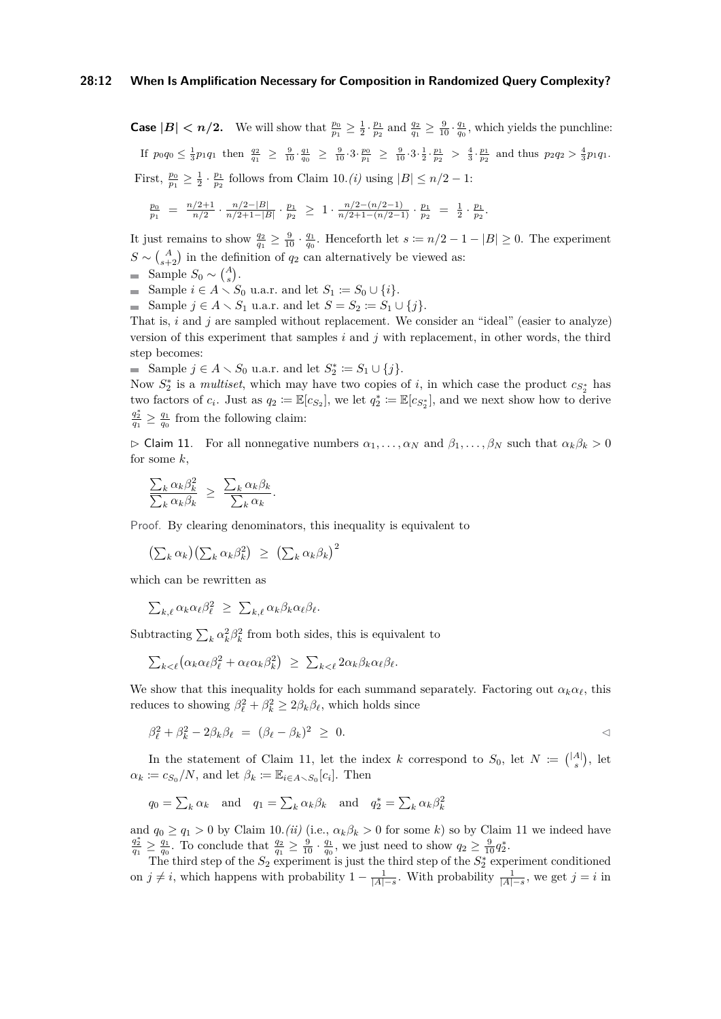**Case**  $|B| < n/2$ . We will show that  $\frac{p_0}{p_1} \geq \frac{1}{2} \cdot \frac{p_1}{p_2}$  and  $\frac{q_2}{q_1} \geq \frac{9}{10} \cdot \frac{q_1}{q_0}$ , which yields the punchline: If  $p_0q_0 \n\t\leq \frac{1}{3}p_1q_1$  then  $\frac{q_2}{q_1} \geq \frac{9}{10} \cdot \frac{q_1}{q_0} \geq \frac{9}{10} \cdot 3 \cdot \frac{p_0}{p_1} \geq \frac{9}{10} \cdot 3 \cdot \frac{1}{2} \cdot \frac{p_1}{p_2} > \frac{4}{3} \cdot \frac{p_1}{p_2}$  and thus  $p_2q_2 > \frac{4}{3}p_1q_1$ . First,  $\frac{p_0}{p_1} \geq \frac{1}{2} \cdot \frac{p_1}{p_2}$  follows from [Claim 10.](#page-10-0)*(i)* using  $|B| \leq n/2 - 1$ :

$$
\tfrac{p_0}{p_1} \; = \; \tfrac{n/2 + 1}{n/2} \cdot \tfrac{n/2 - |B|}{n/2 + 1 - |B|} \cdot \tfrac{p_1}{p_2} \; \ge \; 1 \cdot \tfrac{n/2 - (n/2 - 1)}{n/2 + 1 - (n/2 - 1)} \cdot \tfrac{p_1}{p_2} \; = \; \tfrac{1}{2} \cdot \tfrac{p_1}{p_2}.
$$

It just remains to show  $\frac{q_2}{q_1} \geq \frac{9}{10} \cdot \frac{q_1}{q_0}$ . Henceforth let  $s := n/2 - 1 - |B| \geq 0$ . The experiment  $S \sim {A \choose s+2}$  in the definition of  $q_2$  can alternatively be viewed as:

Sample  $S_0 \sim {A \choose s}$ .

Sample  $i \in A \setminus S_0$  u.a.r. and let  $S_1 := S_0 \cup \{i\}.$ 

■ Sample  $j \in A \setminus S_1$  u.a.r. and let  $S = S_2 := S_1 \cup \{j\}.$ 

That is, *i* and *j* are sampled without replacement. We consider an "ideal" (easier to analyze) version of this experiment that samples *i* and *j* with replacement, in other words, the third step becomes:

Sample  $j \in A \setminus S_0$  u.a.r. and let  $S_2^* \coloneqq S_1 \cup \{j\}.$ 

Now  $S_2^*$  is a *multiset*, which may have two copies of *i*, in which case the product  $c_{S_2^*}$  has two factors of  $c_i$ . Just as  $q_2 := \mathbb{E}[c_{S_2}]$ , we let  $q_2^* := \mathbb{E}[c_{S_2^*}]$ , and we next show how to derive  $\frac{q_2^*}{q_1} \ge \frac{q_1}{q_0}$  from the following claim:

<span id="page-11-0"></span> $\triangleright$  Claim 11. For all nonnegative numbers  $\alpha_1, \ldots, \alpha_N$  and  $\beta_1, \ldots, \beta_N$  such that  $\alpha_k \beta_k > 0$ for some *k*,

$$
\frac{\sum_{k} \alpha_{k} \beta_{k}^{2}}{\sum_{k} \alpha_{k} \beta_{k}} \geq \frac{\sum_{k} \alpha_{k} \beta_{k}}{\sum_{k} \alpha_{k}}.
$$

Proof. By clearing denominators, this inequality is equivalent to

$$
\left(\sum_k \alpha_k\right) \left(\sum_k \alpha_k \beta_k^2\right) \ \geq \ \left(\sum_k \alpha_k \beta_k\right)^2
$$

which can be rewritten as

$$
\sum_{k,\ell} \alpha_k \alpha_\ell \beta_\ell^2 \geq \sum_{k,\ell} \alpha_k \beta_k \alpha_\ell \beta_\ell.
$$

Subtracting  $\sum_k \alpha_k^2 \beta_k^2$  from both sides, this is equivalent to

$$
\sum_{k < \ell} \left( \alpha_k \alpha_\ell \beta_\ell^2 + \alpha_\ell \alpha_k \beta_k^2 \right) \ \geq \ \sum_{k < \ell} 2 \alpha_k \beta_k \alpha_\ell \beta_\ell.
$$

We show that this inequality holds for each summand separately. Factoring out  $\alpha_k \alpha_\ell$ , this reduces to showing  $\beta_{\ell}^2 + \beta_k^2 \geq 2\beta_k\beta_{\ell}$ , which holds since

$$
\beta_{\ell}^2 + \beta_k^2 - 2\beta_k \beta_{\ell} = (\beta_{\ell} - \beta_k)^2 \geq 0.
$$

In the statement of [Claim 11,](#page-11-0) let the index *k* correspond to  $S_0$ , let  $N := \binom{|A|}{s}$ , let  $\alpha_k \coloneqq c_{S_0}/N$ , and let  $\beta_k \coloneqq \mathbb{E}_{i \in A \setminus S_0}[c_i]$ . Then

$$
q_0 = \sum_k \alpha_k
$$
 and  $q_1 = \sum_k \alpha_k \beta_k$  and  $q_2^* = \sum_k \alpha_k \beta_k^2$ 

and  $q_0 \geq q_1 > 0$  by [Claim 10.](#page-10-0)*(ii)* (i.e.,  $\alpha_k \beta_k > 0$  for some *k*) so by [Claim 11](#page-11-0) we indeed have  $\frac{q_2^*}{q_1} \ge \frac{q_1}{q_0}$ . To conclude that  $\frac{q_2}{q_1} \ge \frac{9}{10} \cdot \frac{q_1}{q_0}$ , we just need to show  $q_2 \ge \frac{9}{10}q_2^*$ .

The third step of the  $S_2$  experiment is just the third step of the  $S_2^*$  experiment conditioned on  $j \neq i$ , which happens with probability  $1 - \frac{1}{|A|-s}$ . With probability  $\frac{1}{|A|-s}$ , we get  $j = i$  in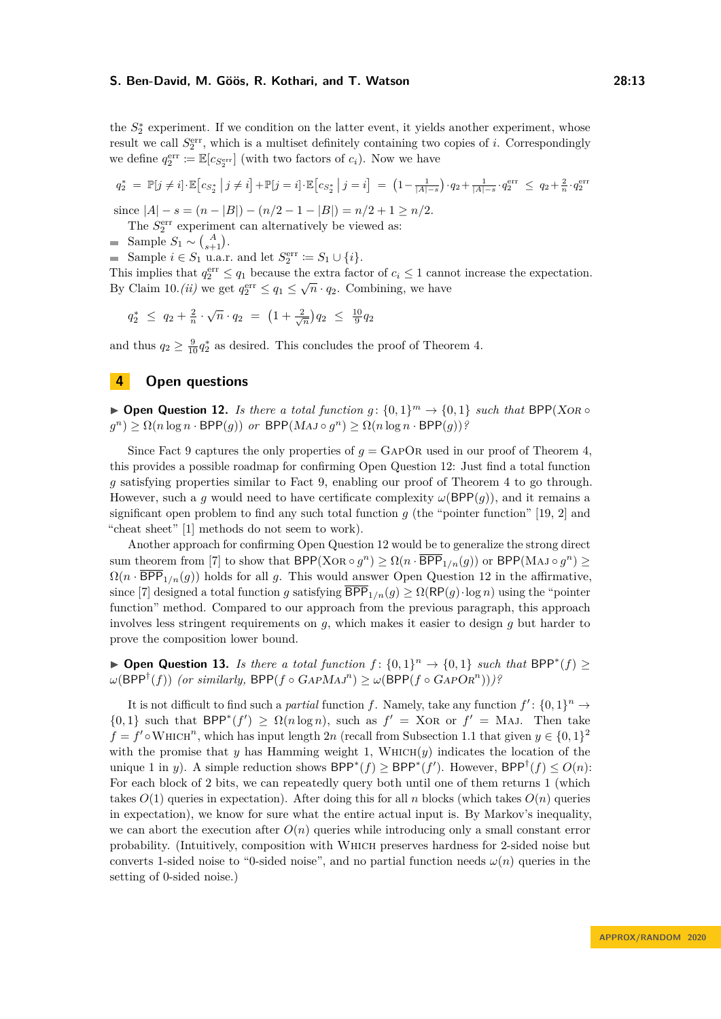the  $S_2^*$  experiment. If we condition on the latter event, it yields another experiment, whose result we call  $S_2^{\text{err}}$ , which is a multiset definitely containing two copies of *i*. Correspondingly we define  $q_2^{\text{err}} := \mathbb{E}[c_{S_2^{\text{err}}}]$  (with two factors of  $c_i$ ). Now we have

$$
q_2^* = \mathbb{P}[j \neq i] \cdot \mathbb{E}\left[c_{S_2^*} \middle| j \neq i\right] + \mathbb{P}[j = i] \cdot \mathbb{E}\left[c_{S_2^*} \middle| j = i\right] = \left(1 - \frac{1}{|A| - s}\right) \cdot q_2 + \frac{1}{|A| - s} \cdot q_2^{\text{err}} \leq q_2 + \frac{2}{n} \cdot q_2^{\text{err}}
$$

since  $|A| - s = (n - |B|) - (n/2 - 1 - |B|) = n/2 + 1 \ge n/2$ .

The  $S_2^{\text{err}}$  experiment can alternatively be viewed as:

Sample  $S_1 \sim {A \choose s+1}$ .

Sample  $i \in S_1$  u.a.r. and let  $S_2^{\text{err}} \coloneqq S_1 \cup \{i\}.$ 

This implies that  $q_2^{\text{err}} \leq q_1$  because the extra factor of  $c_i \leq 1$  cannot increase the expectation. By [Claim 10.](#page-10-0)*(ii)* we get  $q_2^{\text{err}} \le q_1 \le \sqrt{n} \cdot q_2$ . Combining, we have

 $q_2^* \leq q_2 + \frac{2}{n} \cdot \sqrt{n} \cdot q_2 = \left(1 + \frac{2}{\sqrt{n}}\right) q_2 \leq \frac{10}{9} q_2$ 

and thus  $q_2 \geq \frac{9}{10} q_2^*$  as desired. This concludes the proof of [Theorem 4.](#page-9-2)

## **4 Open questions**

<span id="page-12-0"></span>▶ **Open Question 12.** *Is there a total function g*:  $\{0,1\}$ <sup>*m*</sup> →  $\{0,1\}$  *such that* BPP(XOR ◦  $g^{(n)} \ge \Omega(n \log n \cdot \text{BPP}(g))$  *or*  $\text{BPP}(MAJ \circ g^{n}) \ge \Omega(n \log n \cdot \text{BPP}(g))$ ?

Since [Fact 9](#page-9-0) captures the only properties of  $g = \text{GAPOR}$  used in our proof of [Theorem 4,](#page-5-0) this provides a possible roadmap for confirming [Open Question 12:](#page-12-0) Just find a total function *g* satisfying properties similar to [Fact 9,](#page-9-0) enabling our proof of [Theorem 4](#page-5-0) to go through. However, such a *q* would need to have certificate complexity  $\omega(\text{BPP}(q))$ , and it remains a significant open problem to find any such total function  $g$  (the "pointer function" [\[19,](#page-14-10) [2\]](#page-13-12) and "cheat sheet" [\[1\]](#page-13-13) methods do not seem to work).

Another approach for confirming [Open Question 12](#page-12-0) would be to generalize the strong direct sum theorem from [\[7\]](#page-13-6) to show that  $BPP(XOR \circ g^n) \ge \Omega(n \cdot \overline{BPP}_{1/n}(g))$  or  $BPP(MAJ \circ g^n) \ge$  $\Omega(n \cdot \overline{BPP}_{1/n}(g))$  holds for all *g*. This would answer [Open Question 12](#page-12-0) in the affirmative, since [\[7\]](#page-13-6) designed a total function *g* satisfying  $\overline{BPP}_{1/n}(g) \ge \Omega(\text{RP}(g) \cdot \log n)$  using the "pointer" function" method. Compared to our approach from the previous paragraph, this approach involves less stringent requirements on *g*, which makes it easier to design *g* but harder to prove the composition lower bound.

▶ **Open Question 13.** *Is there a total function*  $f: \{0,1\}^n \to \{0,1\}$  *such that* BPP<sup>\*</sup> $(f)$  ≥  $\omega(\textsf{BPP}^{\dagger}(f))$  *(or similarly,*  $\textsf{BPP}(f \circ \textsf{GAPMAJ}^n) \geq \omega(\textsf{BPP}(f \circ \textsf{GAPOR}^n)))$ ?

It is not difficult to find such a *partial* function *f*. Namely, take any function  $f'$ :  $\{0,1\}^n \to$  $\{0,1\}$  such that BPP<sup>\*</sup> $(f') \geq \Omega(n \log n)$ , such as  $f' = XOR$  or  $f' = MAJ$ . Then take  $f = f' \circ \text{Whicm}^n$ , which has input length 2*n* (recall from [Subsection 1.1](#page-1-1) that given  $y \in \{0,1\}^2$ with the promise that *y* has Hamming weight 1, WHICH $(y)$  indicates the location of the unique 1 in *y*). A simple reduction shows  $BPP^*(f) \ge BPP^*(f')$ . However,  $BPP^{\dagger}(f) \le O(n)$ : For each block of 2 bits, we can repeatedly query both until one of them returns 1 (which takes  $O(1)$  queries in expectation). After doing this for all *n* blocks (which takes  $O(n)$  queries in expectation), we know for sure what the entire actual input is. By Markov's inequality, we can abort the execution after  $O(n)$  queries while introducing only a small constant error probability. (Intuitively, composition with Which preserves hardness for 2-sided noise but converts 1-sided noise to "0-sided noise", and no partial function needs  $\omega(n)$  queries in the setting of 0-sided noise.)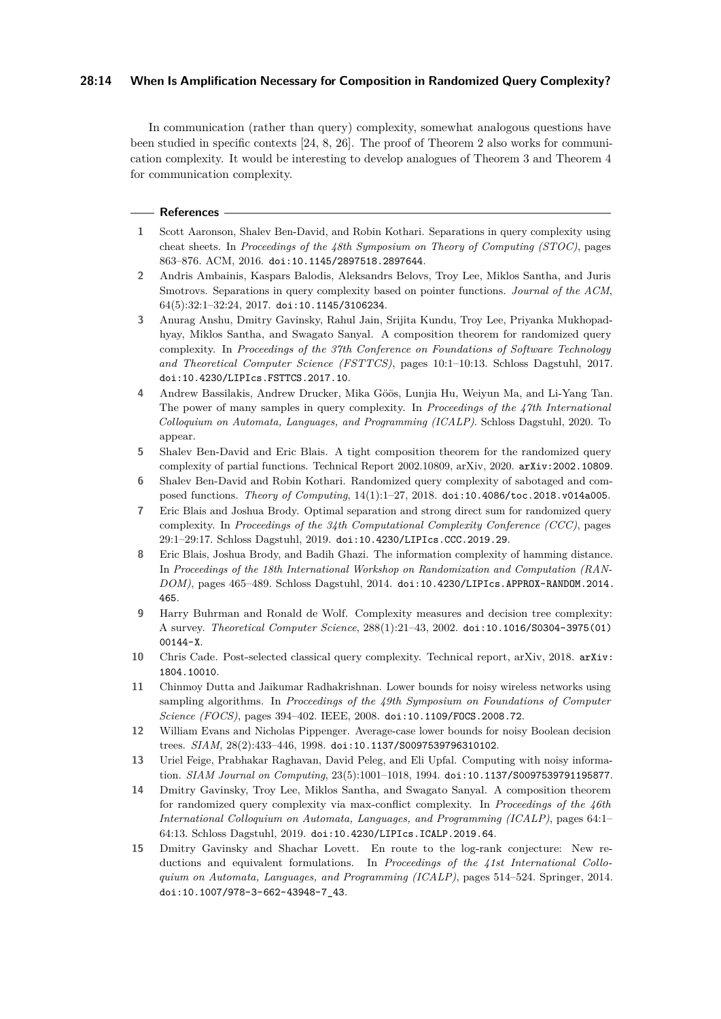## **28:14 When Is Amplification Necessary for Composition in Randomized Query Complexity?**

In communication (rather than query) complexity, somewhat analogous questions have been studied in specific contexts [\[24,](#page-14-11) [8,](#page-13-14) [26\]](#page-14-12). The proof of [Theorem 2](#page-3-0) also works for communication complexity. It would be interesting to develop analogues of [Theorem 3](#page-4-0) and [Theorem 4](#page-5-0) for communication complexity.

#### **References**

- <span id="page-13-13"></span>**1** Scott Aaronson, Shalev Ben-David, and Robin Kothari. Separations in query complexity using cheat sheets. In *Proceedings of the 48th Symposium on Theory of Computing (STOC)*, pages 863–876. ACM, 2016. [doi:10.1145/2897518.2897644](https://doi.org/10.1145/2897518.2897644).
- <span id="page-13-12"></span>**2** Andris Ambainis, Kaspars Balodis, Aleksandrs Belovs, Troy Lee, Miklos Santha, and Juris Smotrovs. Separations in query complexity based on pointer functions. *Journal of the ACM*, 64(5):32:1–32:24, 2017. [doi:10.1145/3106234](https://doi.org/10.1145/3106234).
- <span id="page-13-1"></span>**3** Anurag Anshu, Dmitry Gavinsky, Rahul Jain, Srijita Kundu, Troy Lee, Priyanka Mukhopadhyay, Miklos Santha, and Swagato Sanyal. A composition theorem for randomized query complexity. In *Proceedings of the 37th Conference on Foundations of Software Technology and Theoretical Computer Science (FSTTCS)*, pages 10:1–10:13. Schloss Dagstuhl, 2017. [doi:10.4230/LIPIcs.FSTTCS.2017.10](https://doi.org/10.4230/LIPIcs.FSTTCS.2017.10).
- <span id="page-13-3"></span>**4** Andrew Bassilakis, Andrew Drucker, Mika Göös, Lunjia Hu, Weiyun Ma, and Li-Yang Tan. The power of many samples in query complexity. In *Proceedings of the 47th International Colloquium on Automata, Languages, and Programming (ICALP)*. Schloss Dagstuhl, 2020. To appear.
- <span id="page-13-4"></span>**5** Shalev Ben-David and Eric Blais. A tight composition theorem for the randomized query complexity of partial functions. Technical Report 2002.10809, arXiv, 2020. [arXiv:2002.10809](http://arxiv.org/abs/2002.10809).
- <span id="page-13-2"></span>**6** Shalev Ben-David and Robin Kothari. Randomized query complexity of sabotaged and composed functions. *Theory of Computing*, 14(1):1–27, 2018. [doi:10.4086/toc.2018.v014a005](https://doi.org/10.4086/toc.2018.v014a005).
- <span id="page-13-6"></span>**7** Eric Blais and Joshua Brody. Optimal separation and strong direct sum for randomized query complexity. In *Proceedings of the 34th Computational Complexity Conference (CCC)*, pages 29:1–29:17. Schloss Dagstuhl, 2019. [doi:10.4230/LIPIcs.CCC.2019.29](https://doi.org/10.4230/LIPIcs.CCC.2019.29).
- <span id="page-13-14"></span>**8** Eric Blais, Joshua Brody, and Badih Ghazi. The information complexity of hamming distance. In *Proceedings of the 18th International Workshop on Randomization and Computation (RAN-DOM)*, pages 465–489. Schloss Dagstuhl, 2014. [doi:10.4230/LIPIcs.APPROX-RANDOM.2014.](https://doi.org/10.4230/LIPIcs.APPROX-RANDOM.2014.465) [465](https://doi.org/10.4230/LIPIcs.APPROX-RANDOM.2014.465).
- <span id="page-13-0"></span>**9** Harry Buhrman and Ronald de Wolf. Complexity measures and decision tree complexity: A survey. *Theoretical Computer Science*, 288(1):21–43, 2002. [doi:10.1016/S0304-3975\(01\)](https://doi.org/10.1016/S0304-3975(01)00144-X) [00144-X](https://doi.org/10.1016/S0304-3975(01)00144-X).
- <span id="page-13-10"></span>**10** Chris Cade. Post-selected classical query complexity. Technical report, arXiv, 2018. [arXiv:](http://arxiv.org/abs/1804.10010) [1804.10010](http://arxiv.org/abs/1804.10010).
- <span id="page-13-9"></span>**11** Chinmoy Dutta and Jaikumar Radhakrishnan. Lower bounds for noisy wireless networks using sampling algorithms. In *Proceedings of the 49th Symposium on Foundations of Computer Science (FOCS)*, pages 394–402. IEEE, 2008. [doi:10.1109/FOCS.2008.72](https://doi.org/10.1109/FOCS.2008.72).
- <span id="page-13-8"></span>**12** William Evans and Nicholas Pippenger. Average-case lower bounds for noisy Boolean decision trees. *SIAM*, 28(2):433–446, 1998. [doi:10.1137/S0097539796310102](https://doi.org/10.1137/S0097539796310102).
- <span id="page-13-7"></span>**13** Uriel Feige, Prabhakar Raghavan, David Peleg, and Eli Upfal. Computing with noisy information. *SIAM Journal on Computing*, 23(5):1001–1018, 1994. [doi:10.1137/S0097539791195877](https://doi.org/10.1137/S0097539791195877).
- <span id="page-13-5"></span>**14** Dmitry Gavinsky, Troy Lee, Miklos Santha, and Swagato Sanyal. A composition theorem for randomized query complexity via max-conflict complexity. In *Proceedings of the 46th International Colloquium on Automata, Languages, and Programming (ICALP)*, pages 64:1– 64:13. Schloss Dagstuhl, 2019. [doi:10.4230/LIPIcs.ICALP.2019.64](https://doi.org/10.4230/LIPIcs.ICALP.2019.64).
- <span id="page-13-11"></span>**15** Dmitry Gavinsky and Shachar Lovett. En route to the log-rank conjecture: New reductions and equivalent formulations. In *Proceedings of the 41st International Colloquium on Automata, Languages, and Programming (ICALP)*, pages 514–524. Springer, 2014. [doi:10.1007/978-3-662-43948-7\\_43](https://doi.org/10.1007/978-3-662-43948-7_43).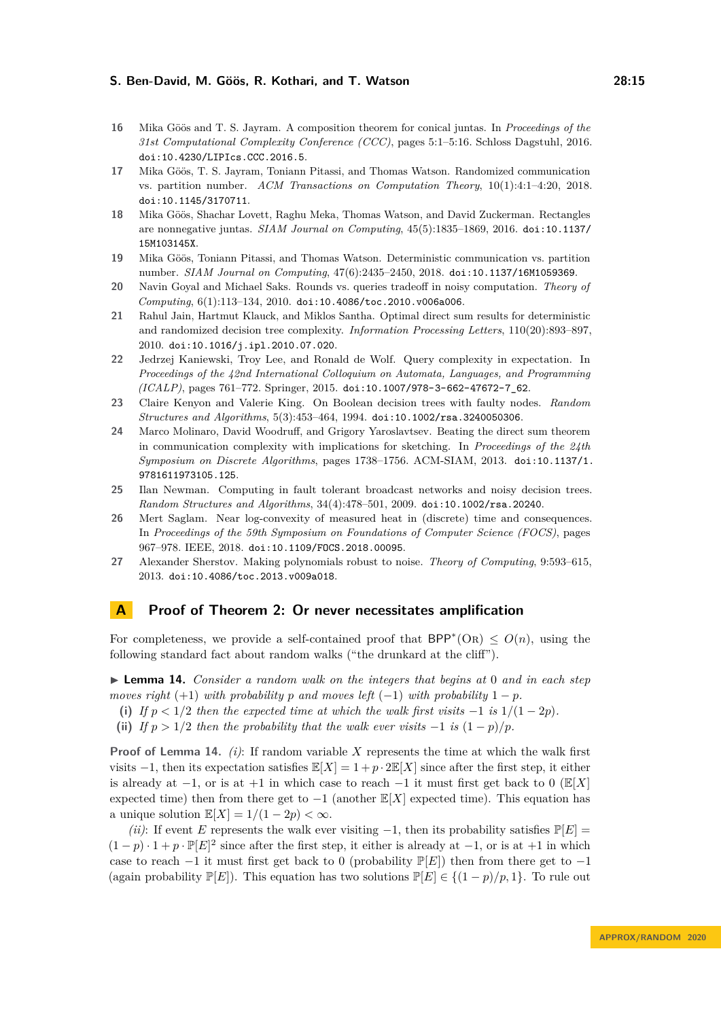- <span id="page-14-0"></span>**16** Mika Göös and T. S. Jayram. A composition theorem for conical juntas. In *Proceedings of the 31st Computational Complexity Conference (CCC)*, pages 5:1–5:16. Schloss Dagstuhl, 2016. [doi:10.4230/LIPIcs.CCC.2016.5](https://doi.org/10.4230/LIPIcs.CCC.2016.5).
- <span id="page-14-2"></span>**17** Mika Göös, T. S. Jayram, Toniann Pitassi, and Thomas Watson. Randomized communication vs. partition number. *ACM Transactions on Computation Theory*, 10(1):4:1–4:20, 2018. [doi:10.1145/3170711](https://doi.org/10.1145/3170711).
- <span id="page-14-7"></span>**18** Mika Göös, Shachar Lovett, Raghu Meka, Thomas Watson, and David Zuckerman. Rectangles are nonnegative juntas. *SIAM Journal on Computing*, 45(5):1835–1869, 2016. [doi:10.1137/](https://doi.org/10.1137/15M103145X) [15M103145X](https://doi.org/10.1137/15M103145X).
- <span id="page-14-10"></span>**19** Mika Göös, Toniann Pitassi, and Thomas Watson. Deterministic communication vs. partition number. *SIAM Journal on Computing*, 47(6):2435–2450, 2018. [doi:10.1137/16M1059369](https://doi.org/10.1137/16M1059369).
- <span id="page-14-5"></span>**20** Navin Goyal and Michael Saks. Rounds vs. queries tradeoff in noisy computation. *Theory of Computing*, 6(1):113–134, 2010. [doi:10.4086/toc.2010.v006a006](https://doi.org/10.4086/toc.2010.v006a006).
- <span id="page-14-1"></span>**21** Rahul Jain, Hartmut Klauck, and Miklos Santha. Optimal direct sum results for deterministic and randomized decision tree complexity. *Information Processing Letters*, 110(20):893–897, 2010. [doi:10.1016/j.ipl.2010.07.020](https://doi.org/10.1016/j.ipl.2010.07.020).
- <span id="page-14-8"></span>**22** Jedrzej Kaniewski, Troy Lee, and Ronald de Wolf. Query complexity in expectation. In *Proceedings of the 42nd International Colloquium on Automata, Languages, and Programming (ICALP)*, pages 761–772. Springer, 2015. [doi:10.1007/978-3-662-47672-7\\_62](https://doi.org/10.1007/978-3-662-47672-7_62).
- <span id="page-14-3"></span>**23** Claire Kenyon and Valerie King. On Boolean decision trees with faulty nodes. *Random Structures and Algorithms*, 5(3):453–464, 1994. [doi:10.1002/rsa.3240050306](https://doi.org/10.1002/rsa.3240050306).
- <span id="page-14-11"></span>**24** Marco Molinaro, David Woodruff, and Grigory Yaroslavtsev. Beating the direct sum theorem in communication complexity with implications for sketching. In *Proceedings of the 24th Symposium on Discrete Algorithms*, pages 1738–1756. ACM-SIAM, 2013. [doi:10.1137/1.](https://doi.org/10.1137/1.9781611973105.125) [9781611973105.125](https://doi.org/10.1137/1.9781611973105.125).
- <span id="page-14-4"></span>**25** Ilan Newman. Computing in fault tolerant broadcast networks and noisy decision trees. *Random Structures and Algorithms*, 34(4):478–501, 2009. [doi:10.1002/rsa.20240](https://doi.org/10.1002/rsa.20240).
- <span id="page-14-12"></span>**26** Mert Saglam. Near log-convexity of measured heat in (discrete) time and consequences. In *Proceedings of the 59th Symposium on Foundations of Computer Science (FOCS)*, pages 967–978. IEEE, 2018. [doi:10.1109/FOCS.2018.00095](https://doi.org/10.1109/FOCS.2018.00095).
- <span id="page-14-9"></span>**27** Alexander Sherstov. Making polynomials robust to noise. *Theory of Computing*, 9:593–615, 2013. [doi:10.4086/toc.2013.v009a018](https://doi.org/10.4086/toc.2013.v009a018).

## <span id="page-14-6"></span>**A Proof of [Theorem 2:](#page-3-0) Or never necessitates amplification**

For completeness, we provide a self-contained proof that  $BPP^*(OR) \leq O(n)$ , using the following standard fact about random walks ("the drunkard at the cliff").

<span id="page-14-13"></span>I **Lemma 14.** *Consider a random walk on the integers that begins at* 0 *and in each step moves right* (+1) *with probability p* and moves left (−1) *with probability*  $1 - p$ *.* 

- (i) If  $p < 1/2$  then the expected time at which the walk first visits  $-1$  is  $1/(1-2p)$ .
- (ii) *If*  $p > 1/2$  *then the probability that the walk ever visits* −1 *is*  $(1 p)/p$ *.*

**Proof of [Lemma 14.](#page-14-13)** *(i)*: If random variable *X* represents the time at which the walk first visits  $-1$ , then its expectation satisfies  $\mathbb{E}[X] = 1 + p \cdot 2\mathbb{E}[X]$  since after the first step, it either is already at  $-1$ , or is at  $+1$  in which case to reach  $-1$  it must first get back to 0 ( $\mathbb{E}[X]$ ) expected time) then from there get to  $-1$  (another  $\mathbb{E}[X]$  expected time). This equation has a unique solution  $\mathbb{E}[X] = 1/(1-2p) < \infty$ .

*(ii)*: If event *E* represents the walk ever visiting  $-1$ , then its probability satisfies  $\mathbb{P}[E] =$  $(1-p) \cdot 1 + p \cdot \mathbb{P}[E]^2$  since after the first step, it either is already at  $-1$ , or is at  $+1$  in which case to reach  $-1$  it must first get back to 0 (probability  $\mathbb{P}[E]$ ) then from there get to  $-1$ (again probability  $\mathbb{P}[E]$ ). This equation has two solutions  $\mathbb{P}[E] \in \{(1-p)/p, 1\}$ . To rule out